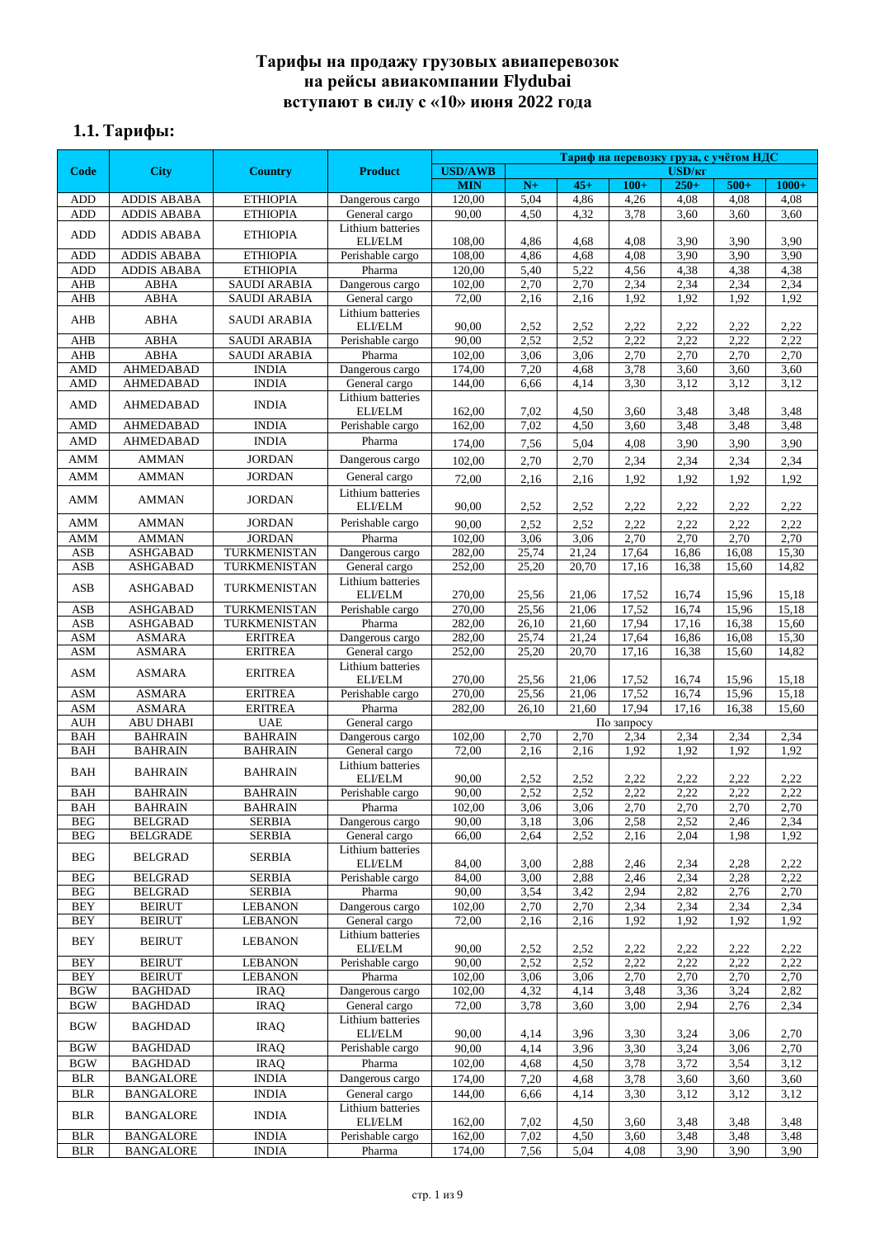# **Тарифы на продажу грузовых авиаперевозок на рейсы авиакомпании Flydubai вступают в силу с «10» июня 2022 года**

# **1.1. Тарифы:**

|                          |                                          |                                    | Тариф на перевозку груза, с учётом НДС |                  |                |                |                |                    |                |                |
|--------------------------|------------------------------------------|------------------------------------|----------------------------------------|------------------|----------------|----------------|----------------|--------------------|----------------|----------------|
| Code                     | <b>City</b>                              | <b>Country</b>                     | <b>Product</b>                         | <b>USD/AWB</b>   |                |                |                | USD/ <sub>KT</sub> |                |                |
|                          |                                          |                                    |                                        | <b>MIN</b>       | $N+$           | $45+$          | $100+$         | $250+$             | $500+$         | $1000+$        |
| ADD<br>ADD               | <b>ADDIS ABABA</b><br><b>ADDIS ABABA</b> | <b>ETHIOPIA</b><br><b>ETHIOPIA</b> | Dangerous cargo<br>General cargo       | 120,00<br>90,00  | 5,04<br>4,50   | 4,86<br>4,32   | 4,26<br>3,78   | 4,08<br>3,60       | 4,08<br>3,60   | 4,08<br>3,60   |
|                          |                                          |                                    | Lithium batteries                      |                  |                |                |                |                    |                |                |
| <b>ADD</b>               | <b>ADDIS ABABA</b>                       | <b>ETHIOPIA</b>                    | ELI/ELM                                | 108,00           | 4,86           | 4,68           | 4,08           | 3,90               | 3,90           | 3,90           |
| ADD                      | <b>ADDIS ABABA</b>                       | <b>ETHIOPIA</b>                    | Perishable cargo                       | 108,00           | 4,86           | 4,68           | 4,08           | 3,90               | 3.90           | 3,90           |
| ADD                      | <b>ADDIS ABABA</b>                       | <b>ETHIOPIA</b>                    | Pharma                                 | 120,00           | 5,40           | 5,22           | 4,56           | 4,38               | 4,38           | 4,38           |
| <b>AHB</b>               | <b>ABHA</b>                              | <b>SAUDI ARABIA</b>                | Dangerous cargo                        | 102,00           | 2,70           | 2,70           | 2,34           | 2,34               | 2,34           | 2,34           |
| <b>AHB</b>               | <b>ABHA</b>                              | <b>SAUDI ARABIA</b>                | General cargo                          | 72,00            | 2,16           | 2,16           | 1,92           | 1,92               | 1,92           | 1,92           |
| AHB                      | <b>ABHA</b>                              | <b>SAUDI ARABIA</b>                | Lithium batteries<br>ELI/ELM           | 90,00            | 2,52           | 2,52           | 2,22           | 2,22               | 2,22           | 2,22           |
| <b>AHB</b>               | <b>ABHA</b>                              | <b>SAUDI ARABIA</b>                | Perishable cargo                       | 90,00            | 2,52           | 2,52           | 2,22           | 2,22               | 2,22           | 2,22           |
| <b>AHB</b>               | <b>ABHA</b>                              | <b>SAUDI ARABIA</b>                | Pharma                                 | 102,00           | 3,06           | 3,06           | 2,70           | 2,70               | 2,70           | 2,70           |
| <b>AMD</b>               | <b>AHMEDABAD</b>                         | <b>INDIA</b>                       | Dangerous cargo                        | 174,00           | 7,20           | 4,68           | 3,78           | 3,60               | 3,60           | 3,60           |
| <b>AMD</b>               | <b>AHMEDABAD</b>                         | <b>INDIA</b>                       | General cargo                          | 144,00           | 6,66           | 4,14           | 3,30           | 3,12               | 3,12           | 3,12           |
| <b>AMD</b>               | <b>AHMEDABAD</b>                         | <b>INDIA</b>                       | Lithium batteries                      |                  |                |                |                |                    |                |                |
|                          |                                          |                                    | ELI/ELM                                | 162,00           | 7,02           | 4,50           | 3,60           | 3,48               | 3,48           | 3,48           |
| <b>AMD</b><br><b>AMD</b> | <b>AHMEDABAD</b><br><b>AHMEDABAD</b>     | <b>INDIA</b><br><b>INDIA</b>       | Perishable cargo<br>Pharma             | 162,00           | 7,02           | 4,50           | 3,60           | 3,48               | 3,48           | 3,48           |
|                          |                                          |                                    |                                        | 174,00           | 7,56           | 5,04           | 4,08           | 3,90               | 3,90           | 3,90           |
| <b>AMM</b>               | <b>AMMAN</b>                             | <b>JORDAN</b>                      | Dangerous cargo                        | 102,00           | 2,70           | 2,70           | 2,34           | 2,34               | 2,34           | 2,34           |
| <b>AMM</b>               | AMMAN                                    | <b>JORDAN</b>                      | General cargo                          | 72,00            | 2,16           | 2,16           | 1,92           | 1,92               | 1,92           | 1,92           |
| AMM                      | <b>AMMAN</b>                             | <b>JORDAN</b>                      | Lithium batteries<br>ELI/ELM           |                  |                |                | 2,22           |                    |                |                |
|                          |                                          |                                    | Perishable cargo                       | 90,00            | 2,52           | 2,52           |                | 2,22               | 2,22           | 2,22           |
| AMM                      | <b>AMMAN</b>                             | JORDAN                             |                                        | 90,00            | 2,52           | 2,52           | 2,22           | 2,22               | 2,22           | 2,22           |
| AMM<br>ASB               | <b>AMMAN</b><br><b>ASHGABAD</b>          | <b>JORDAN</b><br>TURKMENISTAN      | Pharma<br>Dangerous cargo              | 102,00<br>282,00 | 3,06<br>25,74  | 3,06<br>21,24  | 2,70<br>17,64  | 2,70<br>16,86      | 2,70<br>16,08  | 2,70<br>15,30  |
| <b>ASB</b>               | <b>ASHGABAD</b>                          | TURKMENISTAN                       | General cargo                          | 252,00           | 25,20          | 20,70          | 17,16          | 16,38              | 15,60          | 14,82          |
|                          |                                          |                                    | Lithium batteries                      |                  |                |                |                |                    |                |                |
| <b>ASB</b>               | <b>ASHGABAD</b>                          | TURKMENISTAN                       | ELI/ELM                                | 270,00           | 25,56          | 21,06          | 17,52          | 16,74              | 15,96          | 15,18          |
| ASB                      | <b>ASHGABAD</b>                          | TURKMENISTAN                       | Perishable cargo                       | 270,00           | 25,56          | 21,06          | 17,52          | 16,74              | 15,96          | 15,18          |
| ASB                      | <b>ASHGABAD</b>                          | TURKMENISTAN                       | Pharma                                 | 282,00           | 26,10          | 21,60          | 17,94          | 17,16              | 16,38          | 15,60          |
| <b>ASM</b><br><b>ASM</b> | <b>ASMARA</b><br><b>ASMARA</b>           | <b>ERITREA</b><br><b>ERITREA</b>   | Dangerous cargo                        | 282,00<br>252,00 | 25,74<br>25,20 | 21,24<br>20,70 | 17,64<br>17,16 | 16,86              | 16,08<br>15,60 | 15,30<br>14,82 |
|                          |                                          |                                    | General cargo<br>Lithium batteries     |                  |                |                |                | 16,38              |                |                |
| <b>ASM</b>               | <b>ASMARA</b>                            | <b>ERITREA</b>                     | ELI/ELM                                | 270,00           | 25,56          | 21,06          | 17,52          | 16,74              | 15,96          | 15,18          |
| ASM                      | <b>ASMARA</b>                            | <b>ERITREA</b>                     | Perishable cargo                       | 270,00           | 25,56          | 21,06          | 17,52          | 16,74              | 15,96          | 15,18          |
| <b>ASM</b>               | <b>ASMARA</b>                            | <b>ERITREA</b>                     | Pharma                                 | 282,00           | 26,10          | 21,60          | 17,94          | 17,16              | 16,38          | 15,60          |
| <b>AUH</b>               | <b>ABU DHABI</b>                         | <b>UAE</b>                         | General cargo                          |                  |                |                | По запросу     |                    |                |                |
| <b>BAH</b>               | <b>BAHRAIN</b>                           | <b>BAHRAIN</b>                     | Dangerous cargo                        | 102,00           | 2,70           | 2,70           | 2,34           | 2,34               | 2,34           | 2,34           |
| BAH                      | <b>BAHRAIN</b>                           | <b>BAHRAIN</b>                     | General cargo<br>Lithium batteries     | 72,00            | 2,16           | 2,16           | 1,92           | 1,92               | 1,92           | 1,92           |
| <b>BAH</b>               | <b>BAHRAIN</b>                           | <b>BAHRAIN</b>                     | ELI/ELM                                | 90,00            | 2,52           | 2,52           | 2,22           | 2,22               | 2,22           | 2,22           |
| BAH                      | <b>BAHRAIN</b>                           | <b>BAHRAIN</b>                     | Perishable cargo                       | 90,00            | 2,52           | 2,52           | 2,22           | 2,22               | 2,22           | 2,22           |
| <b>BAH</b>               | <b>BAHRAIN</b>                           | <b>BAHRAIN</b>                     | Pharma                                 | 102,00           | 3,06           | 3,06           | 2,70           | 2,70               | 2,70           | 2,70           |
| BEG                      | BELGRAD                                  | <b>SERBIA</b>                      | Dangerous cargo                        | 90,00            | 3,18           | 3,06           | 2,58           | 2,52               | 2,46           | 2,34           |
| <b>BEG</b>               | <b>BELGRADE</b>                          | <b>SERBIA</b>                      | General cargo                          | 66,00            | 2,64           | 2,52           | 2,16           | 2,04               | 1,98           | 1,92           |
| <b>BEG</b>               | <b>BELGRAD</b>                           | SERBIA                             | Lithium batteries<br>ELI/ELM           | 84,00            | 3,00           | 2,88           |                | 2,34               | 2,28           | 2,22           |
| <b>BEG</b>               | <b>BELGRAD</b>                           | <b>SERBIA</b>                      | Perishable cargo                       | 84,00            | 3,00           | 2,88           | 2,46<br>2,46   | 2,34               | 2,28           | 2,22           |
| <b>BEG</b>               | <b>BELGRAD</b>                           | <b>SERBIA</b>                      | Pharma                                 | 90,00            | 3,54           | 3,42           | 2,94           | 2,82               | 2,76           | 2,70           |
| <b>BEY</b>               | <b>BEIRUT</b>                            | <b>LEBANON</b>                     | Dangerous cargo                        | 102,00           | 2,70           | 2,70           | 2,34           | 2,34               | 2,34           | 2,34           |
| BEY                      | <b>BEIRUT</b>                            | <b>LEBANON</b>                     | General cargo                          | 72,00            | 2,16           | 2,16           | 1,92           | 1,92               | 1,92           | 1,92           |
| <b>BEY</b>               | <b>BEIRUT</b>                            | <b>LEBANON</b>                     | Lithium batteries                      |                  |                |                |                |                    |                |                |
|                          |                                          |                                    | ELI/ELM                                | 90,00            | 2,52           | 2,52           | 2,22           | 2,22               | 2,22           | 2,22           |
| <b>BEY</b><br><b>BEY</b> | <b>BEIRUT</b><br><b>BEIRUT</b>           | <b>LEBANON</b><br><b>LEBANON</b>   | Perishable cargo<br>Pharma             | 90,00<br>102,00  | 2,52<br>3,06   | 2,52<br>3,06   | 2,22<br>2,70   | 2,22<br>2,70       | 2,22<br>2,70   | 2,22<br>2,70   |
| <b>BGW</b>               | <b>BAGHDAD</b>                           | <b>IRAQ</b>                        | Dangerous cargo                        | 102,00           | 4,32           | 4,14           | 3,48           | 3,36               | 3,24           | 2,82           |
| <b>BGW</b>               | <b>BAGHDAD</b>                           | <b>IRAQ</b>                        | General cargo                          | 72,00            | 3,78           | 3,60           | 3,00           | 2,94               | 2,76           | 2,34           |
| <b>BGW</b>               | <b>BAGHDAD</b>                           | <b>IRAQ</b>                        | Lithium batteries                      |                  |                |                |                |                    |                |                |
|                          |                                          |                                    | ELI/ELM                                | 90,00            | 4,14           | 3,96           | 3,30           | 3,24               | 3,06           | 2,70           |
| <b>BGW</b>               | <b>BAGHDAD</b>                           | <b>IRAQ</b>                        | Perishable cargo                       | 90,00            | 4,14           | 3,96           | 3,30           | 3,24               | 3,06           | 2,70           |
| <b>BGW</b>               | <b>BAGHDAD</b>                           | <b>IRAQ</b>                        | Pharma                                 | 102,00           | 4,68           | 4,50           | 3,78           | 3,72               | 3,54           | 3,12           |
| <b>BLR</b>               | <b>BANGALORE</b>                         | <b>INDIA</b>                       | Dangerous cargo                        | 174,00           | 7,20           | 4,68           | 3,78           | 3,60               | 3,60           | 3,60           |
| <b>BLR</b>               | <b>BANGALORE</b>                         | <b>INDIA</b>                       | General cargo<br>Lithium batteries     | 144,00           | 6,66           | 4,14           | 3,30           | 3,12               | 3,12           | 3,12           |
| <b>BLR</b>               | <b>BANGALORE</b>                         | <b>INDIA</b>                       | ELI/ELM                                | 162,00           | 7,02           | 4,50           | 3,60           | 3,48               | 3,48           | 3,48           |
| <b>BLR</b>               | <b>BANGALORE</b>                         | <b>INDIA</b>                       | Perishable cargo                       | 162,00           | 7,02           | 4,50           | 3,60           | 3,48               | 3,48           | 3,48           |
| $BLR$                    | <b>BANGALORE</b>                         | <b>INDIA</b>                       | Pharma                                 | 174,00           | 7,56           | 5,04           | 4,08           | 3,90               | 3,90           | 3,90           |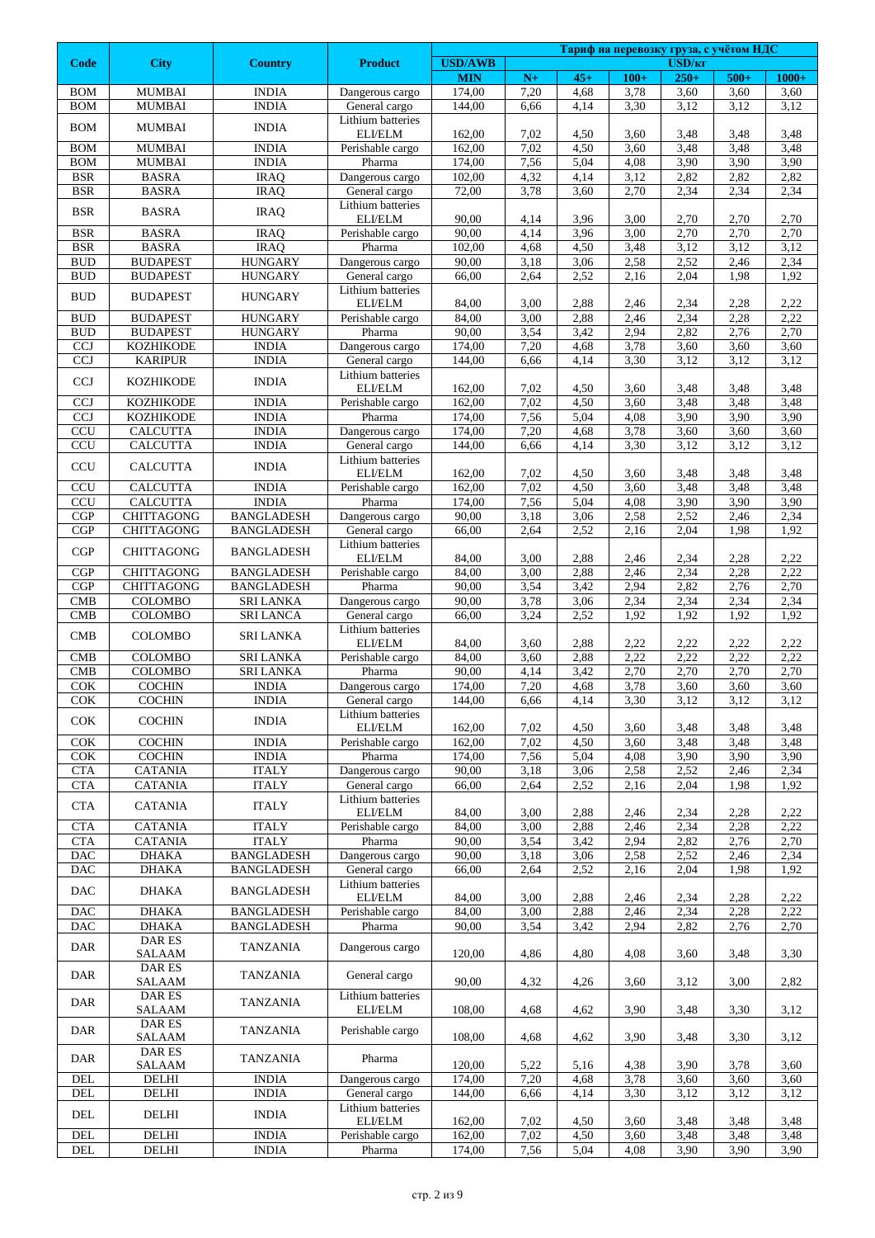|                             |                                |                            |                                    | Тариф на перевозку груза, с учётом НДС |              |              |              |                              |              |              |  |
|-----------------------------|--------------------------------|----------------------------|------------------------------------|----------------------------------------|--------------|--------------|--------------|------------------------------|--------------|--------------|--|
| Code                        | <b>City</b>                    | <b>Country</b>             | <b>Product</b>                     | <b>USD/AWB</b><br><b>MIN</b>           | $N+$         | $45+$        | $100+$       | USD/ <sub>KT</sub><br>$250+$ | $500+$       | $1000+$      |  |
| <b>BOM</b>                  | <b>MUMBAI</b>                  | <b>INDIA</b>               | Dangerous cargo                    | 174,00                                 | 7,20         | 4,68         | 3,78         | 3,60                         | 3,60         | 3,60         |  |
| <b>BOM</b>                  | <b>MUMBAI</b>                  | <b>INDIA</b>               | General cargo                      | 144,00                                 | 6,66         | 4,14         | 3,30         | 3,12                         | 3,12         | 3,12         |  |
| <b>BOM</b>                  | <b>MUMBAI</b>                  | <b>INDIA</b>               | Lithium batteries                  |                                        |              |              |              |                              |              |              |  |
|                             |                                | <b>INDIA</b>               | ELI/ELM                            | 162,00                                 | 7,02         | 4,50         | 3,60         | 3,48                         | 3,48         | 3,48         |  |
| <b>BOM</b><br><b>BOM</b>    | <b>MUMBAI</b><br><b>MUMBAI</b> | <b>INDIA</b>               | Perishable cargo<br>Pharma         | 162,00<br>174,00                       | 7,02<br>7,56 | 4,50<br>5,04 | 3,60<br>4,08 | 3,48<br>3,90                 | 3,48<br>3,90 | 3,48<br>3,90 |  |
| <b>BSR</b>                  | <b>BASRA</b>                   | <b>IRAQ</b>                | Dangerous cargo                    | 102,00                                 | 4,32         | 4,14         | 3,12         | 2,82                         | 2,82         | 2,82         |  |
| <b>BSR</b>                  | <b>BASRA</b>                   | <b>IRAQ</b>                | General cargo                      | 72,00                                  | 3,78         | 3,60         | 2,70         | 2,34                         | 2,34         | 2,34         |  |
| <b>BSR</b>                  | <b>BASRA</b>                   | <b>IRAQ</b>                | Lithium batteries                  |                                        |              |              |              |                              |              |              |  |
|                             | <b>BASRA</b>                   |                            | ELI/ELM                            | 90,00                                  | 4,14         | 3,96         | 3,00         | 2,70                         | 2,70         | 2,70<br>2,70 |  |
| <b>BSR</b><br><b>BSR</b>    | <b>BASRA</b>                   | <b>IRAO</b><br><b>IRAQ</b> | Perishable cargo<br>Pharma         | 90,00<br>102,00                        | 4,14<br>4,68 | 3,96<br>4,50 | 3,00<br>3,48 | 2,70<br>3,12                 | 2,70<br>3,12 | 3,12         |  |
| <b>BUD</b>                  | <b>BUDAPEST</b>                | <b>HUNGARY</b>             | Dangerous cargo                    | 90,00                                  | 3,18         | 3,06         | 2,58         | 2,52                         | 2,46         | 2,34         |  |
| $\rm BUD$                   | <b>BUDAPEST</b>                | <b>HUNGARY</b>             | General cargo                      | 66,00                                  | 2,64         | 2,52         | 2,16         | 2,04                         | 1,98         | 1,92         |  |
| <b>BUD</b>                  | <b>BUDAPEST</b>                | <b>HUNGARY</b>             | Lithium batteries                  |                                        |              |              |              |                              |              |              |  |
| <b>BUD</b>                  | <b>BUDAPEST</b>                | <b>HUNGARY</b>             | <b>ELI/ELM</b><br>Perishable cargo | 84,00<br>84,00                         | 3,00<br>3,00 | 2,88<br>2,88 | 2,46<br>2,46 | 2,34<br>2,34                 | 2,28<br>2,28 | 2,22<br>2,22 |  |
| <b>BUD</b>                  | <b>BUDAPEST</b>                | <b>HUNGARY</b>             | Pharma                             | 90,00                                  | 3,54         | 3,42         | 2,94         | 2,82                         | 2,76         | 2,70         |  |
| <b>CCJ</b>                  | <b>KOZHIKODE</b>               | <b>INDIA</b>               | Dangerous cargo                    | 174,00                                 | 7,20         | 4,68         | 3,78         | 3,60                         | 3,60         | 3,60         |  |
| <b>CCJ</b>                  | <b>KARIPUR</b>                 | <b>INDIA</b>               | General cargo                      | 144,00                                 | 6,66         | 4,14         | 3,30         | 3,12                         | 3,12         | 3,12         |  |
| $\ensuremath{\text{CCJ}}$   | <b>KOZHIKODE</b>               | <b>INDIA</b>               | Lithium batteries                  |                                        |              |              |              |                              |              |              |  |
| <b>CCJ</b>                  | <b>KOZHIKODE</b>               | <b>INDIA</b>               | ELI/ELM                            | 162,00<br>162,00                       | 7,02<br>7,02 | 4,50<br>4,50 | 3,60<br>3,60 | 3,48<br>3,48                 | 3,48<br>3,48 | 3,48<br>3,48 |  |
| <b>CCJ</b>                  | <b>KOZHIKODE</b>               | <b>INDIA</b>               | Perishable cargo<br>Pharma         | 174,00                                 | 7,56         | 5,04         | 4,08         | 3,90                         | 3,90         | 3,90         |  |
| CCU                         | <b>CALCUTTA</b>                | <b>INDIA</b>               | Dangerous cargo                    | 174,00                                 | 7,20         | 4,68         | 3,78         | 3,60                         | 3,60         | 3,60         |  |
| CCU                         | <b>CALCUTTA</b>                | <b>INDIA</b>               | General cargo                      | 144,00                                 | 6,66         | 4,14         | 3,30         | 3,12                         | 3,12         | 3,12         |  |
| <b>CCU</b>                  | <b>CALCUTTA</b>                | <b>INDIA</b>               | Lithium batteries                  |                                        |              |              |              |                              |              |              |  |
| <b>CCU</b>                  | <b>CALCUTTA</b>                | <b>INDIA</b>               | ELI/ELM<br>Perishable cargo        | 162,00<br>162,00                       | 7,02<br>7,02 | 4,50<br>4,50 | 3,60<br>3,60 | 3,48<br>3,48                 | 3,48<br>3,48 | 3,48<br>3,48 |  |
| <b>CCU</b>                  | <b>CALCUTTA</b>                | <b>INDIA</b>               | Pharma                             | 174,00                                 | 7,56         | 5,04         | 4,08         | 3,90                         | 3,90         | 3,90         |  |
| CGP                         | <b>CHITTAGONG</b>              | <b>BANGLADESH</b>          | Dangerous cargo                    | 90,00                                  | 3,18         | 3,06         | 2,58         | 2,52                         | 2,46         | 2,34         |  |
| CGP                         | CHITTAGONG                     | <b>BANGLADESH</b>          | General cargo                      | 66,00                                  | 2,64         | 2,52         | 2,16         | 2,04                         | 1,98         | 1,92         |  |
| CGP                         | <b>CHITTAGONG</b>              | <b>BANGLADESH</b>          | Lithium batteries                  |                                        |              |              |              |                              |              |              |  |
| CGP                         | <b>CHITTAGONG</b>              | <b>BANGLADESH</b>          | ELI/ELM<br>Perishable cargo        | 84,00<br>84,00                         | 3,00<br>3,00 | 2,88<br>2,88 | 2,46<br>2,46 | 2,34<br>2,34                 | 2,28<br>2,28 | 2,22<br>2,22 |  |
| CGP                         | <b>CHITTAGONG</b>              | <b>BANGLADESH</b>          | Pharma                             | 90,00                                  | 3,54         | 3,42         | 2,94         | 2,82                         | 2,76         | 2,70         |  |
| $\ensuremath{\mathrm{CMB}}$ | <b>COLOMBO</b>                 | <b>SRI LANKA</b>           | Dangerous cargo                    | 90,00                                  | 3,78         | 3,06         | 2,34         | 2,34                         | 2,34         | 2,34         |  |
| $\ensuremath{\mathrm{CMB}}$ | COLOMBO                        | <b>SRI LANCA</b>           | General cargo                      | 66,00                                  | 3,24         | 2,52         | 1,92         | 1,92                         | 1,92         | 1,92         |  |
| CMB                         | <b>COLOMBO</b>                 | SRI LANKA                  | Lithium batteries                  |                                        |              |              |              |                              |              |              |  |
| $\ensuremath{\mathrm{CMB}}$ | COLOMBO                        | <b>SRI LANKA</b>           | ELI/ELM<br>Perishable cargo        | 84,00<br>84,00                         | 3,60<br>3,60 | 2,88<br>2,88 | 2,22<br>2,22 | 2,22<br>2,22                 | 2,22<br>2,22 | 2,22<br>2,22 |  |
| CMB                         | COLOMBO                        | <b>SRI LANKA</b>           | Pharma                             | 90,00                                  | 4,14         | 3.42         | 2,70         | 2,70                         | 2,70         | 2,70         |  |
| <b>COK</b>                  | <b>COCHIN</b>                  | <b>INDIA</b>               | Dangerous cargo                    | 174,00                                 | 7,20         | 4,68         | 3,78         | 3,60                         | 3,60         | 3,60         |  |
| COK                         | <b>COCHIN</b>                  | <b>INDIA</b>               | General cargo                      | 144,00                                 | 6,66         | 4,14         | 3,30         | 3,12                         | 3,12         | 3,12         |  |
| COK                         | <b>COCHIN</b>                  | <b>INDIA</b>               | Lithium batteries<br>ELI/ELM       | 162,00                                 | 7,02         |              |              |                              |              |              |  |
| $\overline{\text{COK}}$     | <b>COCHIN</b>                  | <b>INDIA</b>               | Perishable cargo                   | 162,00                                 | 7,02         | 4,50<br>4,50 | 3,60<br>3,60 | 3,48<br>3,48                 | 3,48<br>3,48 | 3,48<br>3,48 |  |
| COK                         | <b>COCHIN</b>                  | <b>INDIA</b>               | Pharma                             | 174,00                                 | 7,56         | 5,04         | 4,08         | 3,90                         | 3,90         | 3,90         |  |
| <b>CTA</b>                  | <b>CATANIA</b>                 | <b>ITALY</b>               | Dangerous cargo                    | 90,00                                  | 3,18         | 3,06         | 2,58         | 2,52                         | 2,46         | 2,34         |  |
| <b>CTA</b>                  | <b>CATANIA</b>                 | <b>ITALY</b>               | General cargo                      | 66,00                                  | 2,64         | 2,52         | 2,16         | 2,04                         | 1,98         | 1,92         |  |
| CTA                         | <b>CATANIA</b>                 | <b>ITALY</b>               | Lithium batteries<br>ELI/ELM       | 84,00                                  |              |              |              |                              |              |              |  |
| $\operatorname{CTA}$        | <b>CATANIA</b>                 | <b>ITALY</b>               | Perishable cargo                   | 84,00                                  | 3,00<br>3,00 | 2,88<br>2,88 | 2,46<br>2,46 | 2,34<br>2,34                 | 2,28<br>2,28 | 2,22<br>2,22 |  |
| <b>CTA</b>                  | <b>CATANIA</b>                 | <b>ITALY</b>               | Pharma                             | 90,00                                  | 3,54         | 3,42         | 2,94         | 2,82                         | 2,76         | 2,70         |  |
| <b>DAC</b>                  | <b>DHAKA</b>                   | <b>BANGLADESH</b>          | Dangerous cargo                    | 90,00                                  | 3,18         | 3,06         | 2,58         | 2,52                         | 2,46         | 2,34         |  |
| <b>DAC</b>                  | DHAKA                          | <b>BANGLADESH</b>          | General cargo                      | 66,00                                  | 2,64         | 2,52         | 2,16         | 2,04                         | 1,98         | 1,92         |  |
| DAC                         | <b>DHAKA</b>                   | <b>BANGLADESH</b>          | Lithium batteries<br>ELI/ELM       | 84,00                                  | 3,00         | 2,88         | 2,46         | 2,34                         | 2,28         | 2,22         |  |
| <b>DAC</b>                  | <b>DHAKA</b>                   | <b>BANGLADESH</b>          | Perishable cargo                   | 84,00                                  | 3,00         | 2,88         | 2,46         | 2,34                         | 2,28         | 2,22         |  |
| <b>DAC</b>                  | <b>DHAKA</b>                   | <b>BANGLADESH</b>          | Pharma                             | 90,00                                  | 3,54         | 3,42         | 2,94         | 2,82                         | 2,76         | 2,70         |  |
| <b>DAR</b>                  | DAR ES                         | <b>TANZANIA</b>            | Dangerous cargo                    |                                        |              |              |              |                              |              |              |  |
|                             | SALAAM                         |                            |                                    | 120,00                                 | 4,86         | 4,80         | 4,08         | 3,60                         | 3,48         | 3,30         |  |
| <b>DAR</b>                  | DAR ES<br>SALAAM               | <b>TANZANIA</b>            | General cargo                      | 90,00                                  | 4,32         | 4,26         | 3,60         | 3,12                         | 3,00         | 2,82         |  |
|                             | DAR ES                         |                            | Lithium batteries                  |                                        |              |              |              |                              |              |              |  |
| <b>DAR</b>                  | <b>SALAAM</b>                  | <b>TANZANIA</b>            | ELI/ELM                            | 108,00                                 | 4,68         | 4,62         | 3,90         | 3,48                         | 3,30         | 3,12         |  |
| DAR                         | DAR ES                         | <b>TANZANIA</b>            | Perishable cargo                   |                                        |              |              |              |                              |              |              |  |
|                             | SALAAM<br>DAR ES               |                            |                                    | 108,00                                 | 4,68         | 4,62         | 3,90         | 3,48                         | 3,30         | 3,12         |  |
| DAR                         | <b>SALAAM</b>                  | <b>TANZANIA</b>            | Pharma                             | 120,00                                 | 5,22         | 5,16         | 4,38         | 3,90                         | 3,78         | 3,60         |  |
| DEL                         | DELHI                          | <b>INDIA</b>               | Dangerous cargo                    | 174,00                                 | 7,20         | 4,68         | 3,78         | 3,60                         | 3,60         | 3,60         |  |
| <b>DEL</b>                  | DELHI                          | <b>INDIA</b>               | General cargo                      | 144,00                                 | 6,66         | 4,14         | 3,30         | 3,12                         | 3,12         | 3,12         |  |
| DEL                         | <b>DELHI</b>                   | <b>INDIA</b>               | Lithium batteries<br>ELI/ELM       |                                        |              |              |              |                              |              |              |  |
| $\rm{DEL}$                  | DELHI                          | <b>INDIA</b>               | Perishable cargo                   | 162,00<br>162,00                       | 7,02<br>7,02 | 4,50<br>4,50 | 3,60<br>3,60 | 3,48<br>3,48                 | 3,48<br>3,48 | 3,48<br>3,48 |  |
| <b>DEL</b>                  | DELHI                          | <b>INDIA</b>               | Pharma                             | 174,00                                 | 7,56         | 5,04         | 4,08         | 3,90                         | 3,90         | 3,90         |  |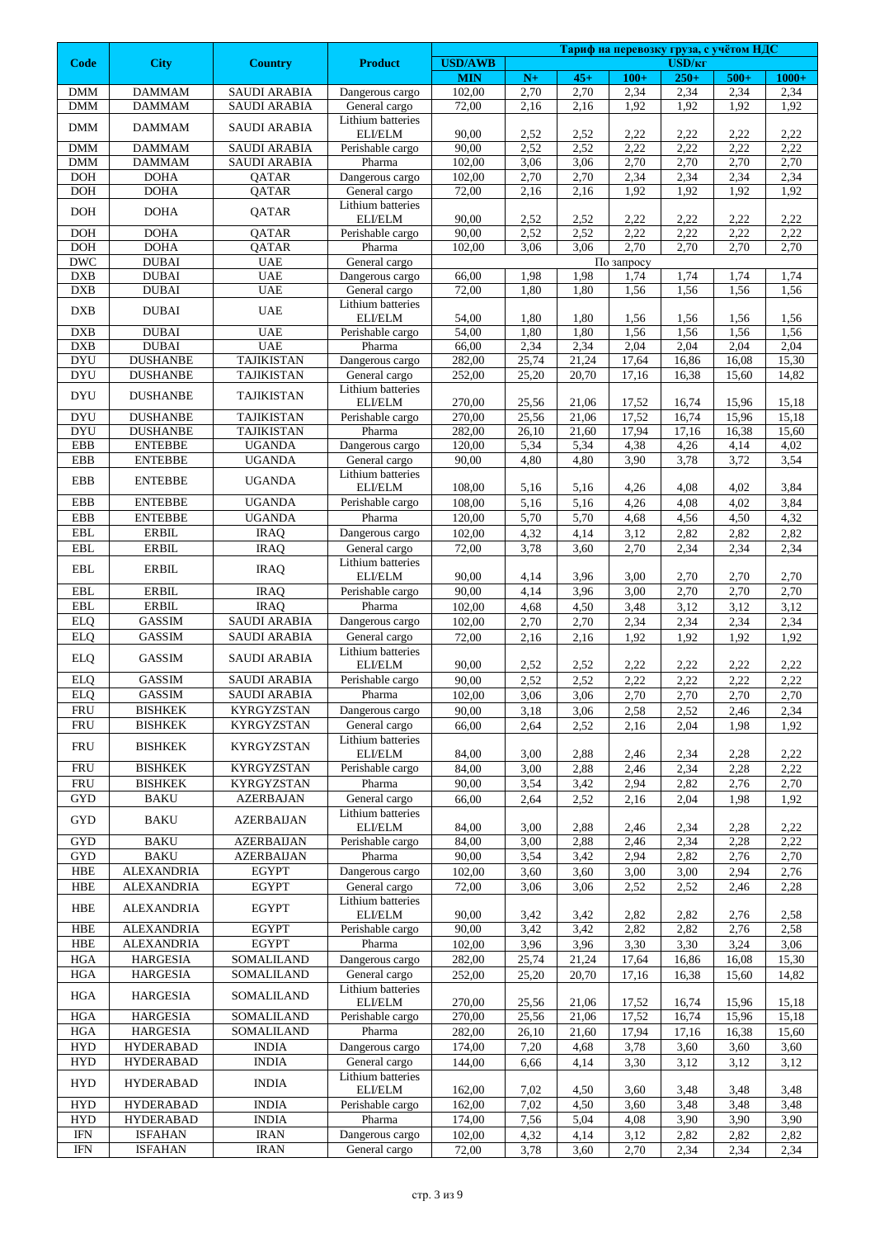|                          |                                   |                                    |                                    |                      |               |               | Тариф на перевозку груза, с учётом НДС |                    |                |                 |  |
|--------------------------|-----------------------------------|------------------------------------|------------------------------------|----------------------|---------------|---------------|----------------------------------------|--------------------|----------------|-----------------|--|
| <b>Code</b>              | <b>City</b>                       | <b>Country</b>                     | <b>Product</b>                     | <b>USD/AWB</b>       |               |               |                                        | USD/ <sub>KT</sub> |                |                 |  |
| <b>DMM</b>               | <b>DAMMAM</b>                     | <b>SAUDI ARABIA</b>                | Dangerous cargo                    | <b>MIN</b><br>102,00 | $N+$<br>2,70  | $45+$<br>2,70 | $100+$<br>2,34                         | $250+$<br>2,34     | $500+$<br>2,34 | $1000+$<br>2,34 |  |
| <b>DMM</b>               | <b>DAMMAM</b>                     | <b>SAUDI ARABIA</b>                | General cargo                      | 72,00                | 2,16          | 2,16          | 1,92                                   | 1,92               | 1,92           | 1,92            |  |
| <b>DMM</b>               | <b>DAMMAM</b>                     | <b>SAUDI ARABIA</b>                | Lithium batteries                  |                      |               |               |                                        |                    |                |                 |  |
|                          |                                   |                                    | ELI/ELM                            | 90,00                | 2,52          | 2,52          | 2,22                                   | 2,22               | 2,22           | 2,22            |  |
| <b>DMM</b>               | <b>DAMMAM</b>                     | <b>SAUDI ARABIA</b>                | Perishable cargo                   | 90,00                | 2,52          | 2,52          | 2,22                                   | 2,22               | 2,22           | 2,22            |  |
| <b>DMM</b><br><b>DOH</b> | <b>DAMMAM</b><br><b>DOHA</b>      | <b>SAUDI ARABIA</b><br>QATAR       | Pharma<br>Dangerous cargo          | 102,00<br>102,00     | 3,06<br>2,70  | 3,06<br>2,70  | 2,70<br>2,34                           | 2,70<br>2,34       | 2,70<br>2,34   | 2,70<br>2,34    |  |
| <b>DOH</b>               | <b>DOHA</b>                       | QATAR                              | General cargo                      | 72,00                | 2,16          | 2,16          | 1,92                                   | 1,92               | 1,92           | 1,92            |  |
|                          |                                   |                                    | Lithium batteries                  |                      |               |               |                                        |                    |                |                 |  |
| <b>DOH</b>               | <b>DOHA</b>                       | QATAR                              | ELI/ELM                            | 90,00                | 2,52          | 2,52          | 2,22                                   | 2,22               | 2,22           | 2,22            |  |
| <b>DOH</b>               | <b>DOHA</b>                       | QATAR                              | Perishable cargo                   | 90,00                | 2,52          | 2,52          | 2,22                                   | 2,22               | 2,22           | 2,22            |  |
| <b>DOH</b>               | <b>DOHA</b>                       | QATAR                              | Pharma                             | 102,00               | 3,06          | 3,06          | 2,70                                   | 2,70               | 2,70           | 2,70            |  |
| <b>DWC</b><br><b>DXB</b> | <b>DUBAI</b><br><b>DUBAI</b>      | <b>UAE</b><br><b>UAE</b>           | General cargo<br>Dangerous cargo   | 66,00                | 1,98          | 1,98          | $\overline{\text{To}}$ запросу<br>1,74 | 1,74               | 1,74           | 1,74            |  |
| <b>DXB</b>               | <b>DUBAI</b>                      | <b>UAE</b>                         | General cargo                      | 72,00                | 1,80          | 1,80          | 1,56                                   | 1,56               | 1,56           | 1,56            |  |
| <b>DXB</b>               | <b>DUBAI</b>                      | <b>UAE</b>                         | Lithium batteries                  |                      |               |               |                                        |                    |                |                 |  |
|                          |                                   |                                    | ELI/ELM                            | 54,00                | 1,80          | 1,80          | 1,56                                   | 1,56               | 1,56           | 1,56            |  |
| <b>DXB</b><br><b>DXB</b> | <b>DUBAI</b><br><b>DUBAI</b>      | <b>UAE</b><br><b>UAE</b>           | Perishable cargo<br>Pharma         | 54,00                | 1,80<br>2,34  | 1,80<br>2,34  | 1,56<br>2,04                           | 1,56<br>2,04       | 1,56<br>2,04   | 1,56<br>2,04    |  |
| <b>DYU</b>               | <b>DUSHANBE</b>                   | <b>TAJIKISTAN</b>                  | Dangerous cargo                    | 66,00<br>282,00      | 25,74         | 21,24         | 17,64                                  | 16,86              | 16,08          | 15,30           |  |
| <b>DYU</b>               | <b>DUSHANBE</b>                   | <b>TAJIKISTAN</b>                  | General cargo                      | 252,00               | 25,20         | 20,70         | 17,16                                  | 16,38              | 15,60          | 14,82           |  |
| <b>DYU</b>               | <b>DUSHANBE</b>                   | <b>TAJIKISTAN</b>                  | Lithium batteries                  |                      |               |               |                                        |                    |                |                 |  |
|                          |                                   |                                    | ELI/ELM                            | 270,00               | 25,56         | 21,06         | 17,52                                  | 16,74              | 15,96          | 15,18           |  |
| <b>DYU</b>               | <b>DUSHANBE</b>                   | <b>TAJIKISTAN</b>                  | Perishable cargo                   | 270,00               | 25,56         | 21,06         | 17,52                                  | 16,74              | 15,96          | 15,18           |  |
| <b>DYU</b><br>EBB        | <b>DUSHANBE</b><br><b>ENTEBBE</b> | <b>TAJIKISTAN</b><br><b>UGANDA</b> | Pharma<br>Dangerous cargo          | 282,00<br>120.00     | 26,10<br>5,34 | 21,60<br>5,34 | 17,94<br>4,38                          | 17,16<br>4,26      | 16,38<br>4,14  | 15,60<br>4,02   |  |
| <b>EBB</b>               | <b>ENTEBBE</b>                    | <b>UGANDA</b>                      | General cargo                      | 90,00                | 4,80          | 4,80          | 3,90                                   | 3,78               | 3,72           | 3,54            |  |
|                          |                                   |                                    | Lithium batteries                  |                      |               |               |                                        |                    |                |                 |  |
| EBB                      | <b>ENTEBBE</b>                    | <b>UGANDA</b>                      | ELI/ELM                            | 108,00               | 5,16          | 5,16          | 4,26                                   | 4,08               | 4,02           | 3,84            |  |
| <b>EBB</b>               | <b>ENTEBBE</b>                    | <b>UGANDA</b>                      | Perishable cargo                   | 108,00               | 5,16          | 5,16          | 4,26                                   | 4,08               | 4,02           | 3,84            |  |
| <b>EBB</b>               | <b>ENTEBBE</b>                    | <b>UGANDA</b>                      | Pharma                             | 120,00               | 5,70          | 5,70          | 4,68                                   | 4,56               | 4,50           | 4,32            |  |
| <b>EBL</b>               | <b>ERBIL</b>                      | <b>IRAQ</b>                        | Dangerous cargo                    | 102,00               | 4,32          | 4,14          | 3,12                                   | 2,82               | 2,82           | 2,82            |  |
| <b>EBL</b>               | <b>ERBIL</b>                      | <b>IRAQ</b>                        | General cargo<br>Lithium batteries | 72,00                | 3,78          | 3,60          | 2,70                                   | 2,34               | 2,34           | 2,34            |  |
| $\operatorname{EBL}$     | <b>ERBIL</b>                      | <b>IRAQ</b>                        | ELI/ELM                            | 90,00                | 4,14          | 3,96          | 3,00                                   | 2,70               | 2,70           | 2,70            |  |
| <b>EBL</b>               | <b>ERBIL</b>                      | <b>IRAQ</b>                        | Perishable cargo                   | 90,00                | 4,14          | 3,96          | 3,00                                   | 2,70               | 2,70           | 2,70            |  |
| $\operatorname{EBL}$     | <b>ERBIL</b>                      | <b>IRAQ</b>                        | Pharma                             | 102,00               | 4,68          | 4,50          | 3,48                                   | 3,12               | 3,12           | 3,12            |  |
| <b>ELQ</b>               | <b>GASSIM</b>                     | <b>SAUDI ARABIA</b>                | Dangerous cargo                    | 102,00               | 2,70          | 2,70          | 2,34                                   | 2,34               | 2,34           | 2,34            |  |
| <b>ELQ</b>               | GASSIM                            | <b>SAUDI ARABIA</b>                | General cargo                      | 72,00                | 2,16          | 2,16          | 1,92                                   | 1,92               | 1,92           | 1,92            |  |
| <b>ELQ</b>               | GASSIM                            | <b>SAUDI ARABIA</b>                | Lithium batteries<br>ELI/ELM       | 90,00                | 2,52          | 2,52          | 2,22                                   | 2,22               | 2,22           | 2,22            |  |
| <b>ELQ</b>               | <b>GASSIM</b>                     | <b>SAUDI ARABIA</b>                | Perishable cargo                   | 90,00                | 2,52          | 2,52          | 2,22                                   | 2,22               | 2,22           | 2,22            |  |
| <b>ELQ</b>               | GASSIM                            | <b>SAUDI ARABIA</b>                | Pharma                             | 102,00               | 3,06          | 3,06          | 2,70                                   | 2,70               | 2,70           | 2,70            |  |
| <b>FRU</b>               | <b>BISHKEK</b>                    | <b>KYRGYZSTAN</b>                  | Dangerous cargo                    | 90,00                | 3,18          | 3,06          | 2,58                                   | 2,52               | 2,46           | 2,34            |  |
| <b>FRU</b>               | <b>BISHKEK</b>                    | <b>KYRGYZSTAN</b>                  | General cargo                      | 66,00                | 2,64          | 2,52          | 2,16                                   | 2,04               | 1.98           | 1,92            |  |
| <b>FRU</b>               | <b>BISHKEK</b>                    | <b>KYRGYZSTAN</b>                  | Lithium batteries                  |                      |               |               |                                        |                    |                |                 |  |
| <b>FRU</b>               | <b>BISHKEK</b>                    | <b>KYRGYZSTAN</b>                  | ELI/ELM<br>Perishable cargo        | 84,00<br>84,00       | 3,00<br>3,00  | 2,88<br>2,88  | 2,46<br>2,46                           | 2,34<br>2,34       | 2,28<br>2,28   | 2,22<br>2,22    |  |
| <b>FRU</b>               | <b>BISHKEK</b>                    | <b>KYRGYZSTAN</b>                  | Pharma                             | 90,00                | 3,54          | 3,42          | 2,94                                   | 2,82               | 2,76           | 2,70            |  |
| <b>GYD</b>               | <b>BAKU</b>                       | <b>AZERBAJAN</b>                   | General cargo                      | 66,00                | 2,64          | 2,52          | 2,16                                   | 2,04               | 1,98           | 1,92            |  |
|                          |                                   |                                    | Lithium batteries                  |                      |               |               |                                        |                    |                |                 |  |
| <b>GYD</b>               | <b>BAKU</b>                       | <b>AZERBAIJAN</b>                  | ELI/ELM                            | 84,00                | 3,00          | 2,88          | 2,46                                   | 2,34               | 2,28           | 2,22            |  |
| <b>GYD</b>               | <b>BAKU</b>                       | <b>AZERBAIJAN</b>                  | Perishable cargo                   | 84,00                | 3,00          | 2,88          | 2,46                                   | 2,34               | 2,28           | 2,22            |  |
| <b>GYD</b><br>HBE        | <b>BAKU</b><br><b>ALEXANDRIA</b>  | <b>AZERBAIJAN</b><br><b>EGYPT</b>  | Pharma                             | 90,00                | 3,54          | 3,42          | 2,94                                   | 2,82               | 2,76           | 2,70            |  |
| <b>HBE</b>               | <b>ALEXANDRIA</b>                 | <b>EGYPT</b>                       | Dangerous cargo<br>General cargo   | 102,00<br>72,00      | 3,60<br>3,06  | 3,60<br>3,06  | 3,00<br>2,52                           | 3,00<br>2,52       | 2,94<br>2,46   | 2,76<br>2,28    |  |
|                          |                                   |                                    | Lithium batteries                  |                      |               |               |                                        |                    |                |                 |  |
| HBE                      | ALEXANDRIA                        | <b>EGYPT</b>                       | ELI/ELM                            | 90,00                | 3,42          | 3,42          | 2,82                                   | 2,82               | 2,76           | 2,58            |  |
| <b>HBE</b>               | <b>ALEXANDRIA</b>                 | <b>EGYPT</b>                       | Perishable cargo                   | 90,00                | 3,42          | 3,42          | 2,82                                   | 2,82               | 2,76           | 2,58            |  |
| <b>HBE</b>               | <b>ALEXANDRIA</b>                 | <b>EGYPT</b>                       | Pharma                             | 102,00               | 3,96          | 3,96          | 3,30                                   | 3,30               | 3,24           | 3,06            |  |
| HGA                      | <b>HARGESIA</b>                   | SOMALILAND                         | Dangerous cargo                    | 282,00               | 25,74         | 21,24         | 17,64                                  | 16,86              | 16,08          | 15,30           |  |
| HGA                      | <b>HARGESIA</b>                   | SOMALILAND                         | General cargo<br>Lithium batteries | 252,00               | 25,20         | 20,70         | 17,16                                  | 16,38              | 15,60          | 14,82           |  |
| <b>HGA</b>               | <b>HARGESIA</b>                   | SOMALILAND                         | ELI/ELM                            | 270,00               | 25,56         | 21,06         | 17,52                                  | 16,74              | 15,96          | 15,18           |  |
| <b>HGA</b>               | <b>HARGESIA</b>                   | SOMALILAND                         | Perishable cargo                   | 270,00               | 25,56         | 21,06         | 17,52                                  | 16,74              | 15,96          | 15,18           |  |
| HGA                      | <b>HARGESIA</b>                   | SOMALILAND                         | Pharma                             | 282,00               | 26,10         | 21,60         | 17,94                                  | 17,16              | 16,38          | 15,60           |  |
| HYD                      | <b>HYDERABAD</b>                  | <b>INDIA</b>                       | Dangerous cargo                    | 174,00               | 7,20          | 4,68          | 3,78                                   | 3,60               | 3,60           | 3,60            |  |
| <b>HYD</b>               | <b>HYDERABAD</b>                  | <b>INDIA</b>                       | General cargo                      | 144,00               | 6,66          | 4,14          | 3,30                                   | 3,12               | 3,12           | 3,12            |  |
| <b>HYD</b>               | <b>HYDERABAD</b>                  | <b>INDIA</b>                       | Lithium batteries                  |                      |               |               |                                        |                    |                |                 |  |
| <b>HYD</b>               | <b>HYDERABAD</b>                  | <b>INDIA</b>                       | ELI/ELM<br>Perishable cargo        | 162,00<br>162,00     | 7,02<br>7,02  | 4,50<br>4,50  | 3,60<br>3,60                           | 3,48<br>3,48       | 3,48<br>3,48   | 3,48<br>3,48    |  |
| <b>HYD</b>               | <b>HYDERABAD</b>                  | <b>INDIA</b>                       | Pharma                             | 174,00               | 7,56          | 5,04          | 4,08                                   | 3,90               | 3,90           | 3,90            |  |
| <b>IFN</b>               | <b>ISFAHAN</b>                    | <b>IRAN</b>                        | Dangerous cargo                    | 102,00               | 4,32          | 4,14          | 3,12                                   | 2,82               | 2,82           | 2,82            |  |
| $\text{IFN}\xspace$      | <b>ISFAHAN</b>                    | <b>IRAN</b>                        | General cargo                      | 72,00                | 3,78          | 3,60          | 2,70                                   | 2,34               | 2,34           | 2,34            |  |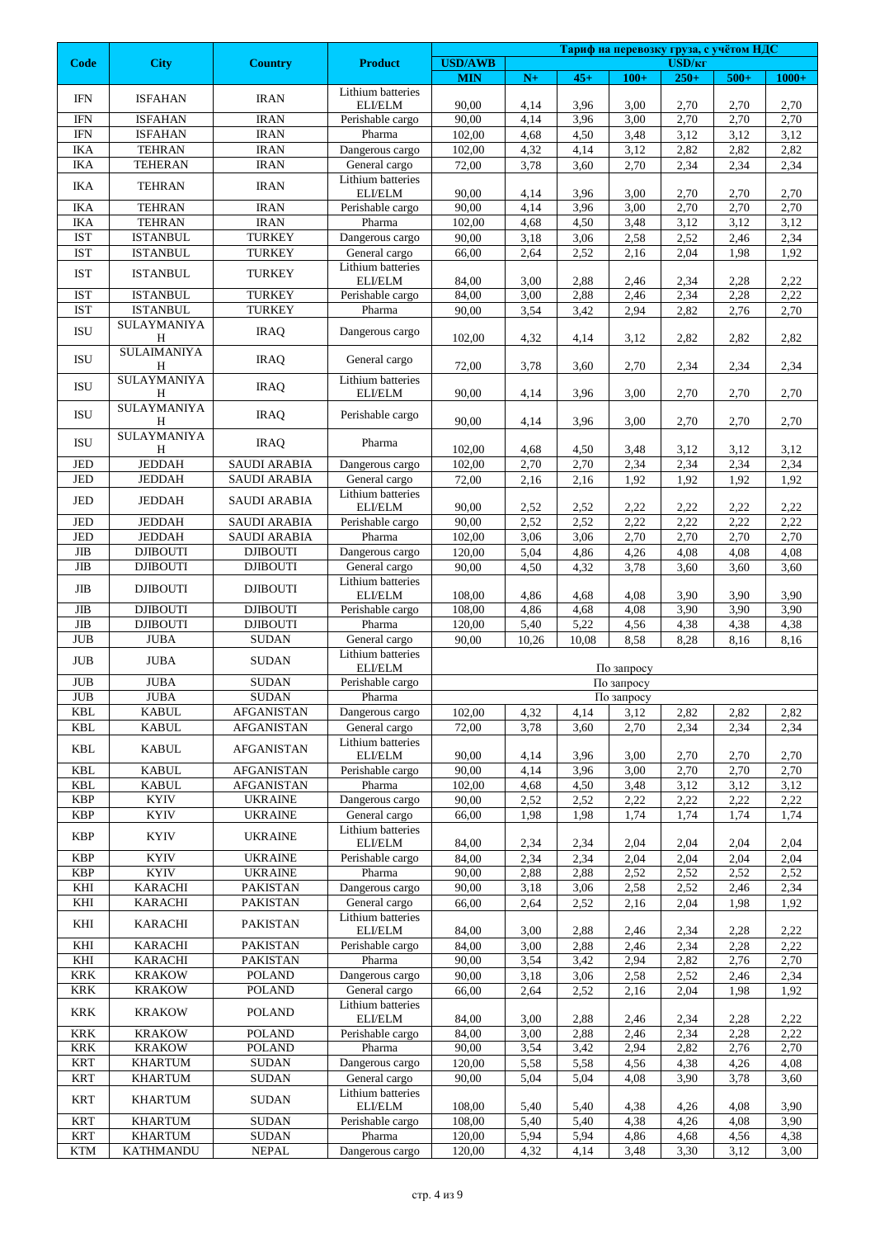|                                  |                                  |                                        |                                               |                              |               |               |                          | Тариф на перевозку груза, с учётом НДС |              |              |  |  |
|----------------------------------|----------------------------------|----------------------------------------|-----------------------------------------------|------------------------------|---------------|---------------|--------------------------|----------------------------------------|--------------|--------------|--|--|
| <b>Code</b>                      | <b>City</b>                      | <b>Country</b>                         | <b>Product</b>                                | <b>USD/AWB</b><br><b>MIN</b> | $\mathbf{N}+$ | $45+$         | $100+$                   | USD/ <sub>KF</sub><br>$250+$           | $500+$       | $1000+$      |  |  |
| <b>IFN</b>                       | <b>ISFAHAN</b>                   | <b>IRAN</b>                            | Lithium batteries                             |                              |               |               |                          |                                        |              |              |  |  |
|                                  |                                  |                                        | ELI/ELM                                       | 90,00                        | 4,14          | 3,96          | 3,00                     | 2,70                                   | 2,70         | 2,70         |  |  |
| <b>IFN</b><br><b>IFN</b>         | <b>ISFAHAN</b><br><b>ISFAHAN</b> | <b>IRAN</b><br><b>IRAN</b>             | Perishable cargo<br>Pharma                    | 90,00<br>102,00              | 4,14<br>4,68  | 3,96<br>4,50  | 3,00<br>3,48             | 2,70<br>3,12                           | 2,70<br>3,12 | 2,70<br>3,12 |  |  |
| IKA                              | <b>TEHRAN</b>                    | <b>IRAN</b>                            | Dangerous cargo                               | 102,00                       | 4,32          | 4,14          | 3,12                     | 2,82                                   | 2,82         | 2,82         |  |  |
| IKA                              | <b>TEHERAN</b>                   | <b>IRAN</b>                            | General cargo                                 | 72,00                        | 3,78          | 3,60          | 2,70                     | 2,34                                   | 2,34         | 2,34         |  |  |
| IKA                              | <b>TEHRAN</b>                    | <b>IRAN</b>                            | Lithium batteries                             |                              |               |               |                          |                                        |              |              |  |  |
|                                  |                                  |                                        | ELI/ELM                                       | 90,00                        | 4,14          | 3,96          | 3,00                     | 2,70                                   | 2,70         | 2,70         |  |  |
| <b>IKA</b>                       | <b>TEHRAN</b>                    | <b>IRAN</b>                            | Perishable cargo                              | 90,00                        | 4,14          | 3,96          | 3,00                     | 2,70                                   | 2,70         | 2,70         |  |  |
| IKA<br><b>IST</b>                | <b>TEHRAN</b><br><b>ISTANBUL</b> | <b>IRAN</b><br><b>TURKEY</b>           | Pharma<br>Dangerous cargo                     | 102,00<br>90,00              | 4,68<br>3,18  | 4,50<br>3,06  | 3,48<br>2,58             | 3,12<br>2,52                           | 3,12<br>2,46 | 3,12<br>2,34 |  |  |
| <b>IST</b>                       | <b>ISTANBUL</b>                  | <b>TURKEY</b>                          | General cargo                                 | 66,00                        | 2,64          | 2,52          | 2,16                     | 2,04                                   | 1,98         | 1,92         |  |  |
|                                  |                                  |                                        | Lithium batteries                             |                              |               |               |                          |                                        |              |              |  |  |
| <b>IST</b>                       | <b>ISTANBUL</b>                  | <b>TURKEY</b>                          | ELI/ELM                                       | 84,00                        | 3,00          | 2,88          | 2,46                     | 2,34                                   | 2,28         | 2,22         |  |  |
| <b>IST</b>                       | <b>ISTANBUL</b>                  | <b>TURKEY</b>                          | Perishable cargo                              | 84,00                        | 3,00          | 2,88          | 2,46                     | 2,34                                   | 2,28         | 2,22         |  |  |
| <b>IST</b>                       | <b>ISTANBUL</b>                  | <b>TURKEY</b>                          | Pharma                                        | 90,00                        | 3,54          | 3,42          | 2,94                     | 2,82                                   | 2,76         | 2,70         |  |  |
| ISU                              | SULAYMANIYA<br>Η                 | <b>IRAQ</b>                            | Dangerous cargo                               | 102,00                       | 4,32          | 4,14          | 3,12                     | 2,82                                   | 2,82         | 2,82         |  |  |
| <b>ISU</b>                       | <b>SULAIMANIYA</b><br>H          | <b>IRAQ</b>                            | General cargo                                 | 72,00                        | 3,78          | 3,60          | 2,70                     | 2,34                                   | 2,34         | 2,34         |  |  |
| <b>ISU</b>                       | SULAYMANIYA<br>Η                 | <b>IRAQ</b>                            | Lithium batteries<br>ELI/ELM                  | 90,00                        | 4,14          | 3,96          | 3,00                     | 2,70                                   | 2,70         | 2,70         |  |  |
|                                  | SULAYMANIYA                      |                                        |                                               |                              |               |               |                          |                                        |              |              |  |  |
| ISU                              | Η<br>SULAYMANIYA                 | <b>IRAQ</b>                            | Perishable cargo                              | 90,00                        | 4,14          | 3,96          | 3,00                     | 2,70                                   | 2,70         | 2,70         |  |  |
| <b>ISU</b>                       | H                                | <b>IRAQ</b>                            | Pharma                                        | 102,00                       | 4,68          | 4,50          | 3,48                     | 3,12                                   | 3,12         | 3,12         |  |  |
| JED                              | <b>JEDDAH</b>                    | <b>SAUDI ARABIA</b>                    | Dangerous cargo                               | 102,00                       | 2,70          | 2,70          | 2,34                     | 2,34                                   | 2,34         | 2,34         |  |  |
| JED                              | <b>JEDDAH</b>                    | <b>SAUDI ARABIA</b>                    | General cargo                                 | 72,00                        | 2,16          | 2,16          | 1,92                     | 1,92                                   | 1,92         | 1,92         |  |  |
| JED                              | <b>JEDDAH</b>                    | <b>SAUDI ARABIA</b>                    | Lithium batteries<br>ELI/ELM                  | 90,00                        | 2,52          | 2,52          | 2,22                     | 2,22                                   | 2,22         | 2,22         |  |  |
| JED                              | <b>JEDDAH</b>                    | <b>SAUDI ARABIA</b>                    | Perishable cargo                              | 90,00                        | 2,52          | 2,52          | 2,22                     | 2,22                                   | 2,22         | 2,22         |  |  |
| JED<br>$_{\rm JIB}$              | <b>JEDDAH</b><br><b>DJIBOUTI</b> | <b>SAUDI ARABIA</b><br><b>DJIBOUTI</b> | Pharma<br>Dangerous cargo                     | 102,00<br>120,00             | 3,06<br>5,04  | 3,06          | 2,70<br>4,26             | 2,70<br>4,08                           | 2,70<br>4,08 | 2,70<br>4,08 |  |  |
| JIB                              | <b>DJIBOUTI</b>                  | <b>DJIBOUTI</b>                        | General cargo                                 | 90,00                        | 4,50          | 4,86<br>4,32  | 3,78                     | 3,60                                   | 3,60         | 3,60         |  |  |
|                                  |                                  |                                        | Lithium batteries                             |                              |               |               |                          |                                        |              |              |  |  |
| JIB                              | <b>DJIBOUTI</b>                  | <b>DJIBOUTI</b>                        | ELI/ELM                                       | 108,00                       | 4,86          | 4,68          | 4,08                     | 3,90                                   | 3,90         | 3,90         |  |  |
| $\rm JIB$                        | <b>DJIBOUTI</b>                  | <b>DJIBOUTI</b>                        | Perishable cargo                              | 108,00                       | 4,86          | 4,68          | 4,08                     | 3,90                                   | 3,90         | 3,90         |  |  |
| $\mathbf{JIB}$<br><b>JUB</b>     | <b>DJIBOUTI</b><br><b>JUBA</b>   | <b>DJIBOUTI</b><br><b>SUDAN</b>        | Pharma<br>General cargo                       | 120,00<br>90,00              | 5,40<br>10,26 | 5,22<br>10,08 | 4,56<br>8,58             | 4,38<br>8,28                           | 4,38<br>8,16 | 4,38<br>8,16 |  |  |
| <b>JUB</b>                       | <b>JUBA</b>                      | <b>SUDAN</b>                           | Lithium batteries<br>ELI/ELM                  |                              |               |               |                          |                                        |              |              |  |  |
| <b>JUB</b>                       | <b>JUBA</b>                      | <b>SUDAN</b>                           | Perishable cargo                              |                              |               |               | По запросу<br>По запросу |                                        |              |              |  |  |
| $\mathbf{J}\mathbf{U}\mathbf{B}$ | <b>JUBA</b>                      | <b>SUDAN</b>                           | Pharma                                        |                              |               |               | По запросу               |                                        |              |              |  |  |
| <b>KBL</b>                       | <b>KABUL</b>                     | <b>AFGANISTAN</b>                      | Dangerous cargo                               | 102,00                       | 4,32          | 4,14          | 3,12                     | 2,82                                   | 2,82         | 2,82         |  |  |
| KBL                              | <b>KABUL</b>                     | <b>AFGANISTAN</b>                      | General cargo                                 | 72,00                        | 3,78          | 3,60          | 2,70                     | 2,34                                   | 2,34         | 2,34         |  |  |
| <b>KBL</b>                       | <b>KABUL</b>                     | <b>AFGANISTAN</b>                      | Lithium batteries<br>$\operatorname{ELI/ELM}$ | 90,00                        | 4,14          | 3,96          | 3,00                     | 2,70                                   | 2,70         | 2,70         |  |  |
| <b>KBL</b>                       | <b>KABUL</b>                     | <b>AFGANISTAN</b>                      | Perishable cargo                              | 90,00                        | 4,14          | 3,96          | 3,00                     | 2,70                                   | 2,70         | 2,70         |  |  |
| <b>KBL</b>                       | <b>KABUL</b>                     | <b>AFGANISTAN</b>                      | Pharma                                        | 102,00                       | 4,68          | 4,50          | 3,48                     | 3,12                                   | 3,12         | 3,12         |  |  |
| <b>KBP</b>                       | <b>KYIV</b>                      | <b>UKRAINE</b>                         | Dangerous cargo                               | 90,00                        | 2,52          | 2,52          | 2,22                     | 2,22                                   | 2,22         | 2,22         |  |  |
| <b>KBP</b>                       | <b>KYIV</b>                      | <b>UKRAINE</b>                         | General cargo                                 | 66,00                        | 1,98          | 1,98          | 1,74                     | 1,74                                   | 1,74         | 1,74         |  |  |
| <b>KBP</b>                       | <b>KYIV</b>                      | <b>UKRAINE</b>                         | Lithium batteries<br>ELI/ELM                  | 84,00                        | 2,34          | 2,34          | 2,04                     | 2,04                                   | 2,04         | 2,04         |  |  |
| <b>KBP</b>                       | <b>KYIV</b>                      | <b>UKRAINE</b>                         | Perishable cargo                              | 84,00                        | 2,34          | 2,34          | 2,04                     | 2,04                                   | 2,04         | 2,04         |  |  |
| <b>KBP</b>                       | <b>KYIV</b>                      | <b>UKRAINE</b>                         | Pharma                                        | 90,00                        | 2,88          | 2,88          | 2,52                     | 2,52                                   | 2,52         | 2,52         |  |  |
| KHI                              | <b>KARACHI</b>                   | PAKISTAN                               | Dangerous cargo                               | 90,00                        | 3,18          | 3,06          | 2,58                     | 2,52                                   | 2,46         | 2,34         |  |  |
| KHI                              | <b>KARACHI</b>                   | PAKISTAN                               | General cargo<br>Lithium batteries            | 66,00                        | 2,64          | 2,52          | 2,16                     | 2,04                                   | 1,98         | 1,92         |  |  |
| KHI                              | <b>KARACHI</b>                   | PAKISTAN                               | ELI/ELM                                       | 84,00                        | 3,00          | 2,88          | 2,46                     | 2,34                                   | 2,28         | 2,22         |  |  |
| KHI                              | <b>KARACHI</b><br><b>KARACHI</b> | PAKISTAN<br><b>PAKISTAN</b>            | Perishable cargo<br>Pharma                    | 84,00<br>90,00               | 3,00          | 2,88          | 2,46<br>2,94             | 2,34<br>2,82                           | 2,28<br>2,76 | 2,22         |  |  |
| KHI<br><b>KRK</b>                | <b>KRAKOW</b>                    | <b>POLAND</b>                          | Dangerous cargo                               | 90,00                        | 3,54<br>3,18  | 3,42<br>3,06  | 2,58                     | 2,52                                   | 2,46         | 2,70<br>2,34 |  |  |
| <b>KRK</b>                       | <b>KRAKOW</b>                    | <b>POLAND</b>                          | General cargo                                 | 66,00                        | 2,64          | 2,52          | 2,16                     | 2,04                                   | 1,98         | 1,92         |  |  |
| KRK                              | <b>KRAKOW</b>                    | <b>POLAND</b>                          | Lithium batteries<br>ELI/ELM                  | 84,00                        | 3,00          | 2,88          | 2,46                     | 2,34                                   | 2,28         | 2,22         |  |  |
| <b>KRK</b>                       | <b>KRAKOW</b>                    | <b>POLAND</b>                          | Perishable cargo                              | 84,00                        | 3,00          | 2,88          | 2,46                     | 2,34                                   | 2,28         | 2,22         |  |  |
| <b>KRK</b>                       | <b>KRAKOW</b>                    | <b>POLAND</b>                          | Pharma                                        | 90,00                        | 3,54          | 3,42          | 2,94                     | 2,82                                   | 2,76         | 2,70         |  |  |
| <b>KRT</b>                       | <b>KHARTUM</b>                   | <b>SUDAN</b>                           | Dangerous cargo                               | 120,00                       | 5,58          | 5,58          | 4,56                     | 4,38                                   | 4,26         | 4,08         |  |  |
| <b>KRT</b>                       | <b>KHARTUM</b>                   | <b>SUDAN</b>                           | General cargo                                 | 90,00                        | 5,04          | 5,04          | 4,08                     | 3,90                                   | 3,78         | 3,60         |  |  |
| <b>KRT</b>                       | <b>KHARTUM</b>                   | <b>SUDAN</b>                           | Lithium batteries<br>ELI/ELM                  | 108,00                       | 5,40          | 5,40          | 4,38                     | 4,26                                   | 4,08         | 3,90         |  |  |
| <b>KRT</b>                       | <b>KHARTUM</b>                   | <b>SUDAN</b>                           | Perishable cargo                              | 108,00                       | 5,40          | 5,40          | 4,38                     | 4,26                                   | 4,08         | 3.90         |  |  |
| <b>KRT</b>                       | <b>KHARTUM</b>                   | <b>SUDAN</b>                           | Pharma                                        | 120,00                       | 5,94          | 5,94          | 4,86                     | 4,68                                   | 4,56         | 4,38         |  |  |
| <b>KTM</b>                       | <b>KATHMANDU</b>                 | NEPAL                                  | Dangerous cargo                               | 120,00                       | 4,32          | 4,14          | 3,48                     | 3,30                                   | 3,12         | 3,00         |  |  |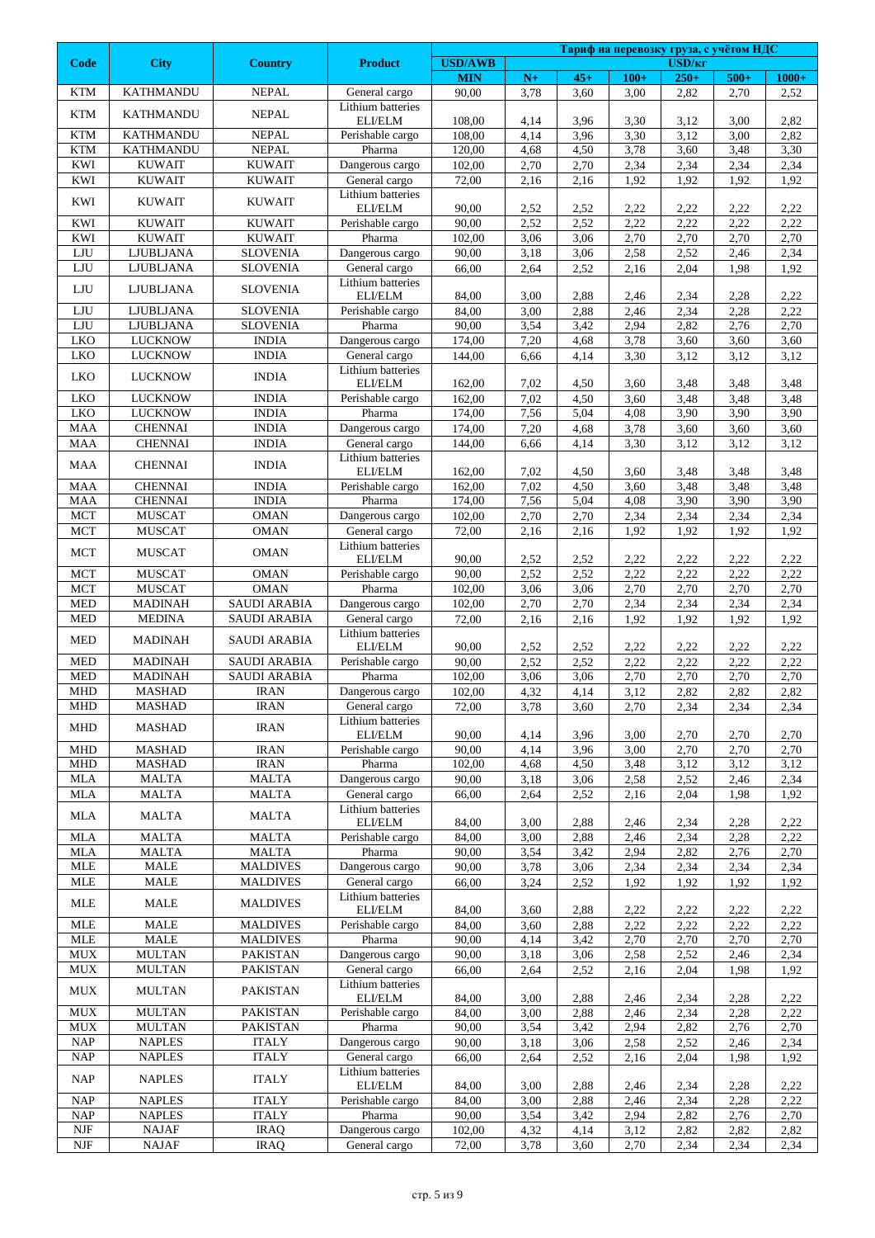|                                               |                                  |                                    |                                    |                  |              |              | Тариф на перевозку груза, с учётом НДС |                    |              |              |  |  |
|-----------------------------------------------|----------------------------------|------------------------------------|------------------------------------|------------------|--------------|--------------|----------------------------------------|--------------------|--------------|--------------|--|--|
| <b>Code</b>                                   | <b>City</b>                      | <b>Country</b>                     | <b>Product</b>                     | <b>USD/AWB</b>   |              |              |                                        | USD/ <sub>KT</sub> |              |              |  |  |
|                                               | <b>KATHMANDU</b>                 | <b>NEPAL</b>                       |                                    | <b>MIN</b>       | $N+$         | $45+$        | $100+$                                 | $250+$             | $500+$       | $1000+$      |  |  |
| <b>KTM</b>                                    |                                  |                                    | General cargo<br>Lithium batteries | 90,00            | 3,78         | 3,60         | 3,00                                   | 2,82               | 2,70         | 2,52         |  |  |
| <b>KTM</b>                                    | <b>KATHMANDU</b>                 | <b>NEPAL</b>                       | ELI/ELM                            | 108,00           | 4,14         | 3,96         | 3,30                                   | 3,12               | 3,00         | 2,82         |  |  |
| <b>KTM</b>                                    | <b>KATHMANDU</b>                 | <b>NEPAL</b>                       | Perishable cargo                   | 108,00           | 4,14         | 3,96         | 3,30                                   | 3,12               | 3,00         | 2,82         |  |  |
| <b>KTM</b>                                    | <b>KATHMANDU</b>                 | <b>NEPAL</b>                       | Pharma                             | 120,00           | 4,68         | 4,50         | 3,78                                   | 3,60               | 3,48         | 3,30         |  |  |
| KWI                                           | <b>KUWAIT</b>                    | <b>KUWAIT</b>                      | Dangerous cargo                    | 102,00           | 2,70         | 2,70         | 2,34                                   | 2,34               | 2,34         | 2,34         |  |  |
| <b>KWI</b>                                    | <b>KUWAIT</b>                    | <b>KUWAIT</b>                      | General cargo                      | 72,00            | 2,16         | 2,16         | 1,92                                   | 1,92               | 1,92         | 1,92         |  |  |
| KWI                                           | <b>KUWAIT</b>                    | <b>KUWAIT</b>                      | Lithium batteries<br>ELI/ELM       | 90,00            | 2,52         | 2,52         | 2,22                                   | 2,22               | 2,22         | 2,22         |  |  |
| KWI                                           | <b>KUWAIT</b>                    | <b>KUWAIT</b>                      | Perishable cargo                   | 90,00            | 2,52         | 2,52         | 2,22                                   | 2,22               | 2,22         | 2,22         |  |  |
| KWI                                           | <b>KUWAIT</b>                    | <b>KUWAIT</b>                      | Pharma                             | 102,00           | 3,06         | 3,06         | 2,70                                   | 2,70               | 2,70         | 2,70         |  |  |
| LJU                                           | <b>LJUBLJANA</b>                 | <b>SLOVENIA</b>                    | Dangerous cargo                    | 90,00            | 3,18         | 3,06         | 2,58                                   | 2,52               | 2,46         | 2,34         |  |  |
| LJU                                           | LJUBLJANA                        | <b>SLOVENIA</b>                    | General cargo                      | 66,00            | 2,64         | 2,52         | 2,16                                   | 2,04               | 1,98         | 1,92         |  |  |
| LJU                                           | LJUBLJANA                        | <b>SLOVENIA</b>                    | Lithium batteries                  |                  |              |              |                                        |                    |              |              |  |  |
|                                               |                                  |                                    | ELI/ELM                            | 84,00            | 3,00         | 2,88         | 2,46                                   | 2,34               | 2,28         | 2,22         |  |  |
| ${\rm LJU}$<br>${\rm LJU}$                    | LJUBLJANA<br><b>LJUBLJANA</b>    | <b>SLOVENIA</b><br><b>SLOVENIA</b> | Perishable cargo<br>Pharma         | 84,00<br>90,00   | 3,00<br>3,54 | 2,88<br>3,42 | 2,46<br>2,94                           | 2,34<br>2,82       | 2,28<br>2,76 | 2,22<br>2,70 |  |  |
| <b>LKO</b>                                    | <b>LUCKNOW</b>                   | <b>INDIA</b>                       | Dangerous cargo                    | 174,00           | 7,20         | 4,68         | 3,78                                   | 3,60               | 3,60         | 3,60         |  |  |
| LKO                                           | <b>LUCKNOW</b>                   | <b>INDIA</b>                       | General cargo                      | 144,00           | 6,66         | 4,14         | 3,30                                   | 3,12               | 3,12         | 3,12         |  |  |
| <b>LKO</b>                                    | <b>LUCKNOW</b>                   | <b>INDIA</b>                       | Lithium batteries                  |                  |              |              |                                        |                    |              |              |  |  |
|                                               |                                  |                                    | ELI/ELM                            | 162,00           | 7,02         | 4,50         | 3,60                                   | 3,48               | 3,48         | 3,48         |  |  |
| <b>LKO</b>                                    | <b>LUCKNOW</b>                   | <b>INDIA</b>                       | Perishable cargo                   | 162,00           | 7,02         | 4,50         | 3,60                                   | 3,48               | 3,48         | 3,48         |  |  |
| LKO<br><b>MAA</b>                             | <b>LUCKNOW</b><br><b>CHENNAI</b> | <b>INDIA</b><br><b>INDIA</b>       | Pharma<br>Dangerous cargo          | 174,00<br>174,00 | 7,56<br>7,20 | 5,04<br>4,68 | 4,08<br>3,78                           | 3,90<br>3,60       | 3,90<br>3,60 | 3,90<br>3,60 |  |  |
| <b>MAA</b>                                    | <b>CHENNAI</b>                   | <b>INDIA</b>                       | General cargo                      | 144,00           | 6,66         | 4,14         | 3,30                                   | 3,12               | 3,12         | 3,12         |  |  |
|                                               |                                  |                                    | Lithium batteries                  |                  |              |              |                                        |                    |              |              |  |  |
| <b>MAA</b>                                    | <b>CHENNAI</b>                   | <b>INDIA</b>                       | ELI/ELM                            | 162,00           | 7,02         | 4,50         | 3,60                                   | 3,48               | 3,48         | 3,48         |  |  |
| <b>MAA</b>                                    | <b>CHENNAI</b>                   | <b>INDIA</b>                       | Perishable cargo                   | 162,00           | 7,02         | 4,50         | 3,60                                   | 3,48               | 3,48         | 3,48         |  |  |
| <b>MAA</b>                                    | <b>CHENNAI</b>                   | <b>INDIA</b>                       | Pharma                             | 174,00           | 7,56         | 5,04         | 4,08                                   | 3,90               | 3,90         | 3,90         |  |  |
| ${MCT}$                                       | <b>MUSCAT</b>                    | <b>OMAN</b>                        | Dangerous cargo                    | 102,00           | 2,70         | 2,70         | 2,34                                   | 2,34               | 2,34         | 2,34         |  |  |
| <b>MCT</b>                                    | <b>MUSCAT</b>                    | <b>OMAN</b>                        | General cargo<br>Lithium batteries | 72,00            | 2,16         | 2,16         | 1,92                                   | 1,92               | 1,92         | 1,92         |  |  |
| <b>MCT</b>                                    | <b>MUSCAT</b>                    | <b>OMAN</b>                        | ELI/ELM                            | 90,00            | 2,52         | 2,52         | 2,22                                   | 2,22               | 2,22         | 2,22         |  |  |
| <b>MCT</b>                                    | <b>MUSCAT</b>                    | <b>OMAN</b>                        | Perishable cargo                   | 90,00            | 2,52         | 2,52         | 2,22                                   | 2,22               | 2,22         | 2,22         |  |  |
| <b>MCT</b>                                    | <b>MUSCAT</b>                    | <b>OMAN</b>                        | Pharma                             | 102,00           | 3,06         | 3,06         | 2,70                                   | 2,70               | 2,70         | 2,70         |  |  |
| <b>MED</b>                                    | <b>MADINAH</b>                   | <b>SAUDI ARABIA</b>                | Dangerous cargo                    | 102,00           | 2,70         | 2,70         | 2,34                                   | 2,34               | 2,34         | 2,34         |  |  |
| <b>MED</b>                                    | <b>MEDINA</b>                    | <b>SAUDI ARABIA</b>                | General cargo                      | 72,00            | 2,16         | 2,16         | 1,92                                   | 1,92               | 1,92         | 1,92         |  |  |
| <b>MED</b>                                    | MADINAH                          | <b>SAUDI ARABIA</b>                | Lithium batteries<br>ELI/ELM       | 90,00            | 2,52         | 2,52         | 2,22                                   | 2,22               | 2,22         | 2,22         |  |  |
| <b>MED</b>                                    | <b>MADINAH</b>                   | <b>SAUDI ARABIA</b>                | Perishable cargo                   | 90,00            | 2,52         | 2,52         | 2,22                                   | 2,22               | 2,22         | 2,22         |  |  |
| <b>MED</b>                                    | <b>MADINAH</b>                   | <b>SAUDI ARABIA</b>                | Pharma                             | 102,00           | 3,06         | 3,06         | 2,70                                   | 2,70               | 2,70         | 2,70         |  |  |
| <b>MHD</b>                                    | <b>MASHAD</b>                    | <b>IRAN</b>                        | Dangerous cargo                    | 102,00           | 4,32         | 4,14         | 3,12                                   | 2,82               | 2,82         | 2,82         |  |  |
| <b>MHD</b>                                    | <b>MASHAD</b>                    | <b>IRAN</b>                        | General cargo                      | 72,00            | 3,78         | 3,60         | 2,70                                   | 2,34               | 2,34         | 2,34         |  |  |
| <b>MHD</b>                                    | <b>MASHAD</b>                    | <b>IRAN</b>                        | Lithium batteries                  | 90,00            |              | 3,96         | 3,00                                   |                    |              | 2,70         |  |  |
| <b>MHD</b>                                    | <b>MASHAD</b>                    | <b>IRAN</b>                        | ELI/ELM<br>Perishable cargo        | 90,00            | 4,14<br>4,14 | 3,96         | 3,00                                   | 2,70<br>2,70       | 2,70<br>2,70 | 2,70         |  |  |
| <b>MHD</b>                                    | <b>MASHAD</b>                    | <b>IRAN</b>                        | Pharma                             | 102,00           | 4,68         | 4,50         | 3,48                                   | 3,12               | 3,12         | 3,12         |  |  |
| <b>MLA</b>                                    | <b>MALTA</b>                     | <b>MALTA</b>                       | Dangerous cargo                    | 90,00            | 3,18         | 3,06         | 2,58                                   | 2,52               | 2,46         | 2,34         |  |  |
| MLA                                           | MALTA                            | <b>MALTA</b>                       | General cargo                      | 66,00            | 2,64         | 2,52         | 2,16                                   | 2,04               | 1,98         | 1,92         |  |  |
| MLA                                           | <b>MALTA</b>                     | MALTA                              | Lithium batteries                  |                  |              |              |                                        |                    |              |              |  |  |
|                                               |                                  |                                    | ELI/ELM                            | 84,00            | 3,00         | 2,88         | 2,46                                   | 2,34               | 2,28         | 2,22         |  |  |
| <b>MLA</b><br><b>MLA</b>                      | <b>MALTA</b><br><b>MALTA</b>     | <b>MALTA</b><br><b>MALTA</b>       | Perishable cargo<br>Pharma         | 84,00<br>90,00   | 3,00<br>3,54 | 2,88<br>3,42 | 2,46<br>2,94                           | 2,34<br>2,82       | 2,28<br>2,76 | 2,22<br>2,70 |  |  |
| $\text{MLE}$                                  | <b>MALE</b>                      | <b>MALDIVES</b>                    | Dangerous cargo                    | 90,00            | 3,78         | 3,06         | 2,34                                   | 2,34               | 2,34         | 2,34         |  |  |
| $\text{MLE}$                                  | MALE                             | <b>MALDIVES</b>                    | General cargo                      | 66,00            | 3,24         | 2,52         | 1,92                                   | 1,92               | 1,92         | 1,92         |  |  |
| <b>MLE</b>                                    | MALE                             | <b>MALDIVES</b>                    | Lithium batteries                  |                  |              |              |                                        |                    |              |              |  |  |
|                                               |                                  |                                    | ELI/ELM                            | 84,00            | 3,60         | 2,88         | 2,22                                   | 2,22               | 2,22         | 2,22         |  |  |
| <b>MLE</b>                                    | MALE                             | <b>MALDIVES</b>                    | Perishable cargo                   | 84,00            | 3,60         | 2,88         | 2,22                                   | 2,22               | 2,22         | 2,22         |  |  |
| <b>MLE</b><br>${\rm MUX}$                     | <b>MALE</b><br><b>MULTAN</b>     | <b>MALDIVES</b><br><b>PAKISTAN</b> | Pharma<br>Dangerous cargo          | 90,00            | 4,14<br>3,18 | 3,42<br>3,06 | 2,70                                   | 2,70               | 2,70         | 2,70         |  |  |
| $\rm MUX$                                     | <b>MULTAN</b>                    | PAKISTAN                           | General cargo                      | 90,00<br>66,00   | 2,64         | 2,52         | 2,58<br>2,16                           | 2,52<br>2,04       | 2,46<br>1,98 | 2,34<br>1,92 |  |  |
|                                               |                                  |                                    | Lithium batteries                  |                  |              |              |                                        |                    |              |              |  |  |
| <b>MUX</b>                                    | <b>MULTAN</b>                    | PAKISTAN                           | ELI/ELM                            | 84,00            | 3,00         | 2,88         | 2,46                                   | 2,34               | 2,28         | 2,22         |  |  |
| <b>MUX</b>                                    | <b>MULTAN</b>                    | <b>PAKISTAN</b>                    | Perishable cargo                   | 84,00            | 3,00         | 2,88         | 2,46                                   | 2,34               | 2,28         | 2,22         |  |  |
| <b>MUX</b>                                    | <b>MULTAN</b>                    | <b>PAKISTAN</b>                    | Pharma                             | 90,00            | 3,54         | 3,42         | 2,94                                   | 2,82               | 2,76         | 2,70         |  |  |
| NAP                                           | <b>NAPLES</b>                    | <b>ITALY</b>                       | Dangerous cargo                    | 90,00            | 3,18         | 3,06         | 2,58                                   | 2,52               | 2,46         | 2,34         |  |  |
| NAP                                           | <b>NAPLES</b>                    | <b>ITALY</b>                       | General cargo<br>Lithium batteries | 66,00            | 2,64         | 2,52         | 2,16                                   | 2,04               | 1,98         | 1,92         |  |  |
| <b>NAP</b>                                    | <b>NAPLES</b>                    | <b>ITALY</b>                       | ELI/ELM                            | 84,00            | 3,00         | 2,88         | 2,46                                   | 2,34               | 2,28         | 2,22         |  |  |
| <b>NAP</b>                                    | <b>NAPLES</b>                    | <b>ITALY</b>                       | Perishable cargo                   | 84,00            | 3,00         | 2,88         | 2,46                                   | 2,34               | 2,28         | 2,22         |  |  |
| <b>NAP</b>                                    | <b>NAPLES</b>                    | <b>ITALY</b>                       | Pharma                             | 90,00            | 3,54         | 3,42         | 2,94                                   | 2,82               | 2,76         | 2,70         |  |  |
| $\ensuremath{\textrm{NJF}}$                   | <b>NAJAF</b>                     | <b>IRAQ</b>                        | Dangerous cargo                    | 102,00           | 4,32         | 4,14         | 3,12                                   | 2,82               | 2,82         | 2,82         |  |  |
| $\ensuremath{\mathrm{N}\mathrm{J}\mathrm{F}}$ | <b>NAJAF</b>                     | <b>IRAQ</b>                        | General cargo                      | 72,00            | 3,78         | 3,60         | 2,70                                   | 2,34               | 2,34         | 2,34         |  |  |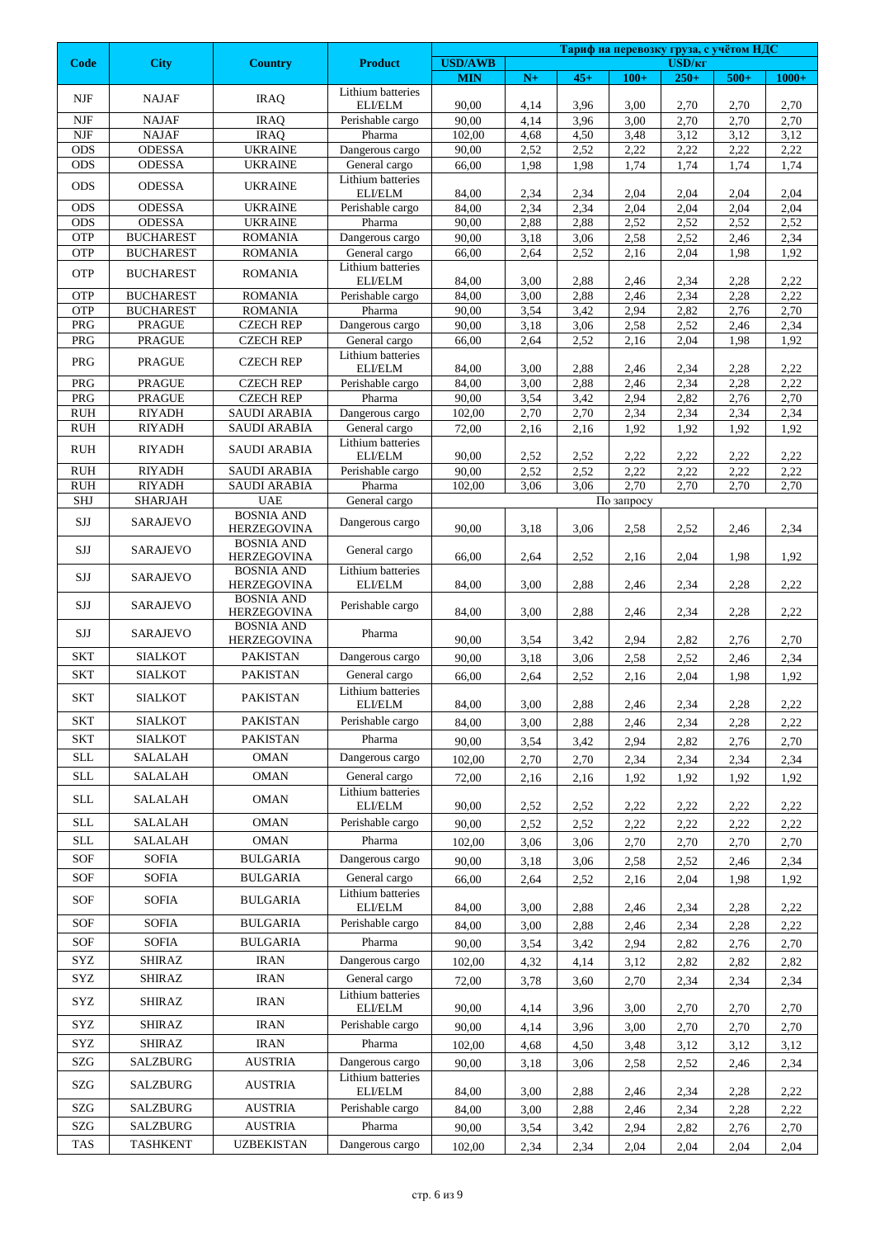|                                  |                                   |                                         |                                    |                              |              |              | Тариф на перевозку груза, с учётом НДС |                                    |              |              |  |
|----------------------------------|-----------------------------------|-----------------------------------------|------------------------------------|------------------------------|--------------|--------------|----------------------------------------|------------------------------------|--------------|--------------|--|
| <b>Code</b>                      | <b>City</b>                       | <b>Country</b>                          | <b>Product</b>                     | <b>USD/AWB</b><br><b>MIN</b> | $N+$         | $45+$        | $100+$                                 | <b>USD/<sub>KT</sub></b><br>$250+$ | $500+$       | $1000+$      |  |
| NJF                              | <b>NAJAF</b>                      | <b>IRAQ</b>                             | Lithium batteries                  |                              |              |              |                                        |                                    |              |              |  |
| $N$ J $F$                        | <b>NAJAF</b>                      | <b>IRAQ</b>                             | ELI/ELM<br>Perishable cargo        | 90,00<br>90,00               | 4,14<br>4,14 | 3,96<br>3,96 | 3,00<br>3,00                           | 2,70<br>2,70                       | 2,70<br>2,70 | 2,70<br>2,70 |  |
| $N$ J $F$                        | <b>NAJAF</b>                      | <b>IRAQ</b>                             | Pharma                             | 102,00                       | 4,68         | 4,50         | 3,48                                   | 3,12                               | 3,12         | 3,12         |  |
| <b>ODS</b>                       | <b>ODESSA</b>                     | <b>UKRAINE</b>                          | Dangerous cargo                    | 90,00                        | 2,52         | 2,52         | 2,22                                   | 2,22                               | 2,22         | 2,22         |  |
| <b>ODS</b>                       | ODESSA                            | <b>UKRAINE</b>                          | General cargo                      | 66,00                        | 1,98         | 1,98         | 1,74                                   | 1,74                               | 1,74         | 1,74         |  |
| <b>ODS</b>                       | <b>ODESSA</b>                     | <b>UKRAINE</b>                          | Lithium batteries<br>ELI/ELM       | 84,00                        | 2,34         | 2,34         | 2,04                                   | 2,04                               | 2,04         | 2,04         |  |
| <b>ODS</b>                       | <b>ODESSA</b>                     | <b>UKRAINE</b>                          | Perishable cargo                   | 84,00                        | 2,34         | 2,34         | 2,04                                   | 2,04                               | 2,04         | 2,04         |  |
| ODS                              | <b>ODESSA</b>                     | <b>UKRAINE</b>                          | Pharma                             | 90,00                        | 2,88         | 2,88         | 2,52                                   | 2,52                               | 2,52         | 2,52         |  |
| <b>OTP</b>                       | <b>BUCHAREST</b>                  | <b>ROMANIA</b>                          | Dangerous cargo                    | 90,00                        | 3,18<br>2,64 | 3,06         | 2,58                                   | 2,52                               | 2,46<br>1,98 | 2,34         |  |
| OTP                              | <b>BUCHAREST</b>                  | <b>ROMANIA</b>                          | General cargo<br>Lithium batteries | 66,00                        |              | 2,52         | 2,16                                   | 2,04                               |              | 1,92         |  |
| OTP                              | <b>BUCHAREST</b>                  | <b>ROMANIA</b>                          | ELI/ELM                            | 84,00                        | 3,00         | 2,88         | 2,46                                   | 2,34                               | 2,28         | 2,22         |  |
| <b>OTP</b>                       | <b>BUCHAREST</b>                  | <b>ROMANIA</b>                          | Perishable cargo                   | 84,00                        | 3,00         | 2,88         | 2,46                                   | 2,34                               | 2,28         | 2,22         |  |
| OTP<br>PRG                       | <b>BUCHAREST</b><br><b>PRAGUE</b> | <b>ROMANIA</b><br><b>CZECH REP</b>      | Pharma<br>Dangerous cargo          | 90,00<br>90,00               | 3,54<br>3,18 | 3,42<br>3,06 | 2,94<br>2,58                           | 2,82<br>2,52                       | 2,76<br>2,46 | 2,70<br>2,34 |  |
| PRG                              | <b>PRAGUE</b>                     | <b>CZECH REP</b>                        | General cargo                      | 66,00                        | 2,64         | 2,52         | 2,16                                   | 2,04                               | 1,98         | 1,92         |  |
| PRG                              | <b>PRAGUE</b>                     | <b>CZECH REP</b>                        | Lithium batteries                  |                              |              |              |                                        |                                    |              |              |  |
| PRG                              | <b>PRAGUE</b>                     | <b>CZECH REP</b>                        | ELI/ELM<br>Perishable cargo        | 84,00<br>84,00               | 3,00<br>3,00 | 2,88<br>2,88 | 2,46<br>2,46                           | 2,34<br>2,34                       | 2,28<br>2,28 | 2,22<br>2,22 |  |
| PRG                              | <b>PRAGUE</b>                     | <b>CZECH REP</b>                        | Pharma                             | 90,00                        | 3,54         | 3,42         | 2,94                                   | 2,82                               | 2,76         | 2,70         |  |
| <b>RUH</b>                       | <b>RIYADH</b>                     | <b>SAUDI ARABIA</b>                     | Dangerous cargo                    | 102,00                       | 2,70         | 2,70         | 2,34                                   | 2,34                               | 2,34         | 2,34         |  |
| <b>RUH</b>                       | <b>RIYADH</b>                     | <b>SAUDI ARABIA</b>                     | General cargo                      | 72,00                        | 2,16         | 2,16         | 1,92                                   | 1,92                               | 1,92         | 1,92         |  |
| <b>RUH</b>                       | <b>RIYADH</b>                     | <b>SAUDI ARABIA</b>                     | Lithium batteries<br>ELI/ELM       | 90,00                        | 2,52         | 2,52         | 2,22                                   | 2,22                               | 2,22         | 2,22         |  |
| <b>RUH</b>                       | <b>RIYADH</b>                     | <b>SAUDI ARABIA</b>                     | Perishable cargo                   | 90,00                        | 2,52         | 2,52         | 2,22                                   | 2,22                               | 2,22         | 2,22         |  |
| $\mathbf{R}\mathbf{U}\mathbf{H}$ | <b>RIYADH</b>                     | <b>SAUDI ARABIA</b>                     | Pharma                             | 102,00                       | 3,06         | 3,06         | 2,70                                   | 2,70                               | 2,70         | 2,70         |  |
| SHJ                              | SHARJAH                           | <b>UAE</b>                              | General cargo                      |                              |              |              | По запросу                             |                                    |              |              |  |
| <b>SJJ</b>                       | <b>SARAJEVO</b>                   | <b>BOSNIA AND</b><br><b>HERZEGOVINA</b> | Dangerous cargo                    | 90,00                        | 3,18         | 3,06         | 2,58                                   | 2,52                               | 2,46         | 2,34         |  |
| SJJ                              | SARAJEVO                          | <b>BOSNIA AND</b><br><b>HERZEGOVINA</b> | General cargo                      | 66,00                        | 2,64         | 2,52         | 2,16                                   | 2,04                               | 1,98         | 1,92         |  |
| SJJ                              | <b>SARAJEVO</b>                   | <b>BOSNIA AND</b><br><b>HERZEGOVINA</b> | Lithium batteries<br>ELI/ELM       | 84,00                        | 3,00         | 2,88         | 2,46                                   | 2,34                               | 2,28         | 2,22         |  |
| SJJ                              | SARAJEVO                          | <b>BOSNIA AND</b><br><b>HERZEGOVINA</b> | Perishable cargo                   | 84,00                        | 3,00         | 2,88         | 2,46                                   | 2,34                               | 2,28         | 2,22         |  |
| SJJ                              | <b>SARAJEVO</b>                   | <b>BOSNIA AND</b><br><b>HERZEGOVINA</b> | Pharma                             | 90,00                        | 3,54         | 3,42         | 2,94                                   | 2,82                               | 2,76         | 2,70         |  |
| <b>SKT</b>                       | <b>SIALKOT</b>                    | <b>PAKISTAN</b>                         | Dangerous cargo                    | 90,00                        | 3,18         | 3,06         | 2,58                                   | 2,52                               | 2,46         | 2,34         |  |
| <b>SKT</b>                       | <b>SIALKOT</b>                    | <b>PAKISTAN</b>                         | General cargo                      | 66,00                        | 2,64         | 2,52         | 2,16                                   | 2,04                               | 1,98         | 1,92         |  |
| <b>SKT</b>                       | <b>SIALKOT</b>                    | <b>PAKISTAN</b>                         | Lithium batteries<br>ELI/ELM       | 84,00                        | 3,00         | 2,88         | 2,46                                   | 2,34                               | 2,28         | 2,22         |  |
| <b>SKT</b>                       | <b>SIALKOT</b>                    | PAKISTAN                                | Perishable cargo                   | 84,00                        | 3,00         | 2,88         | 2,46                                   | 2,34                               | 2,28         | 2,22         |  |
| <b>SKT</b>                       | <b>SIALKOT</b>                    | <b>PAKISTAN</b>                         | Pharma                             | 90,00                        | 3,54         | 3,42         | 2,94                                   | 2,82                               | 2,76         | 2,70         |  |
| SLL                              | <b>SALALAH</b>                    | OMAN                                    | Dangerous cargo                    | 102.00                       | 2,70         | 2,70         | 2,34                                   | 2,34                               | 2,34         | 2,34         |  |
| <b>SLL</b>                       | SALALAH                           | <b>OMAN</b>                             | General cargo                      | 72,00                        | 2,16         | 2,16         | 1,92                                   | 1,92                               | 1,92         | 1,92         |  |
| <b>SLL</b>                       | SALALAH                           | OMAN                                    | Lithium batteries<br>ELI/ELM       | 90,00                        | 2,52         | 2,52         | 2,22                                   | 2,22                               | 2,22         | 2,22         |  |
| <b>SLL</b>                       | <b>SALALAH</b>                    | <b>OMAN</b>                             | Perishable cargo                   | 90,00                        | 2,52         | 2,52         | 2,22                                   | 2,22                               | 2,22         | 2,22         |  |
| <b>SLL</b>                       | SALALAH                           | <b>OMAN</b>                             | Pharma                             | 102,00                       | 3,06         | 3,06         | 2,70                                   | 2,70                               | 2,70         | 2,70         |  |
| <b>SOF</b>                       | <b>SOFIA</b>                      | <b>BULGARIA</b>                         | Dangerous cargo                    | 90,00                        | 3,18         | 3,06         | 2,58                                   | 2,52                               | 2,46         | 2,34         |  |
| <b>SOF</b>                       | <b>SOFIA</b>                      | <b>BULGARIA</b>                         | General cargo                      | 66,00                        | 2,64         | 2,52         | 2,16                                   | 2,04                               | 1,98         | 1,92         |  |
| <b>SOF</b>                       | <b>SOFIA</b>                      | BULGARIA                                | Lithium batteries<br>ELI/ELM       | 84,00                        | 3,00         | 2,88         | 2,46                                   | 2,34                               | 2,28         | 2,22         |  |
| SOF                              | <b>SOFIA</b>                      | <b>BULGARIA</b>                         | Perishable cargo                   | 84,00                        | 3,00         | 2,88         | 2,46                                   | 2,34                               | 2,28         | 2,22         |  |
| SOF                              | <b>SOFIA</b>                      | <b>BULGARIA</b>                         | Pharma                             | 90,00                        | 3,54         | 3,42         | 2,94                                   | 2,82                               | 2,76         | 2,70         |  |
| SYZ                              | <b>SHIRAZ</b>                     | IRAN                                    | Dangerous cargo                    | 102,00                       | 4,32         | 4,14         | 3,12                                   | 2,82                               | 2,82         | 2,82         |  |
| SYZ                              | SHIRAZ                            | IRAN                                    | General cargo                      | 72,00                        | 3,78         | 3,60         | 2,70                                   | 2,34                               | 2,34         | 2,34         |  |
| SYZ                              | SHIRAZ                            | IRAN                                    | Lithium batteries<br>ELI/ELM       | 90,00                        | 4,14         | 3,96         | 3,00                                   | 2,70                               | 2,70         | 2,70         |  |
| SYZ                              | <b>SHIRAZ</b>                     | <b>IRAN</b>                             | Perishable cargo                   | 90,00                        | 4,14         | 3,96         | 3,00                                   | 2,70                               | 2,70         | 2,70         |  |
| SYZ                              | <b>SHIRAZ</b>                     | <b>IRAN</b>                             | Pharma                             | 102,00                       | 4,68         | 4,50         | 3,48                                   | 3,12                               | 3,12         | 3,12         |  |
| SZG                              | SALZBURG                          | AUSTRIA                                 | Dangerous cargo                    | 90,00                        | 3,18         | 3,06         | 2,58                                   | 2,52                               | 2,46         | 2,34         |  |
| SZG                              | SALZBURG                          | <b>AUSTRIA</b>                          | Lithium batteries<br>ELI/ELM       | 84,00                        | 3,00         | 2,88         | 2,46                                   | 2,34                               | 2,28         | 2,22         |  |
| SZG                              | SALZBURG                          | <b>AUSTRIA</b>                          | Perishable cargo                   | 84,00                        | 3,00         | 2,88         | 2,46                                   | 2,34                               | 2,28         | 2,22         |  |
| SZG                              | SALZBURG                          | <b>AUSTRIA</b>                          | Pharma                             | 90,00                        | 3,54         | 3,42         | 2,94                                   | 2,82                               | 2,76         | 2,70         |  |
| TAS                              | <b>TASHKENT</b>                   | <b>UZBEKISTAN</b>                       | Dangerous cargo                    | 102,00                       | 2,34         | 2,34         | 2,04                                   | 2,04                               | 2,04         | 2,04         |  |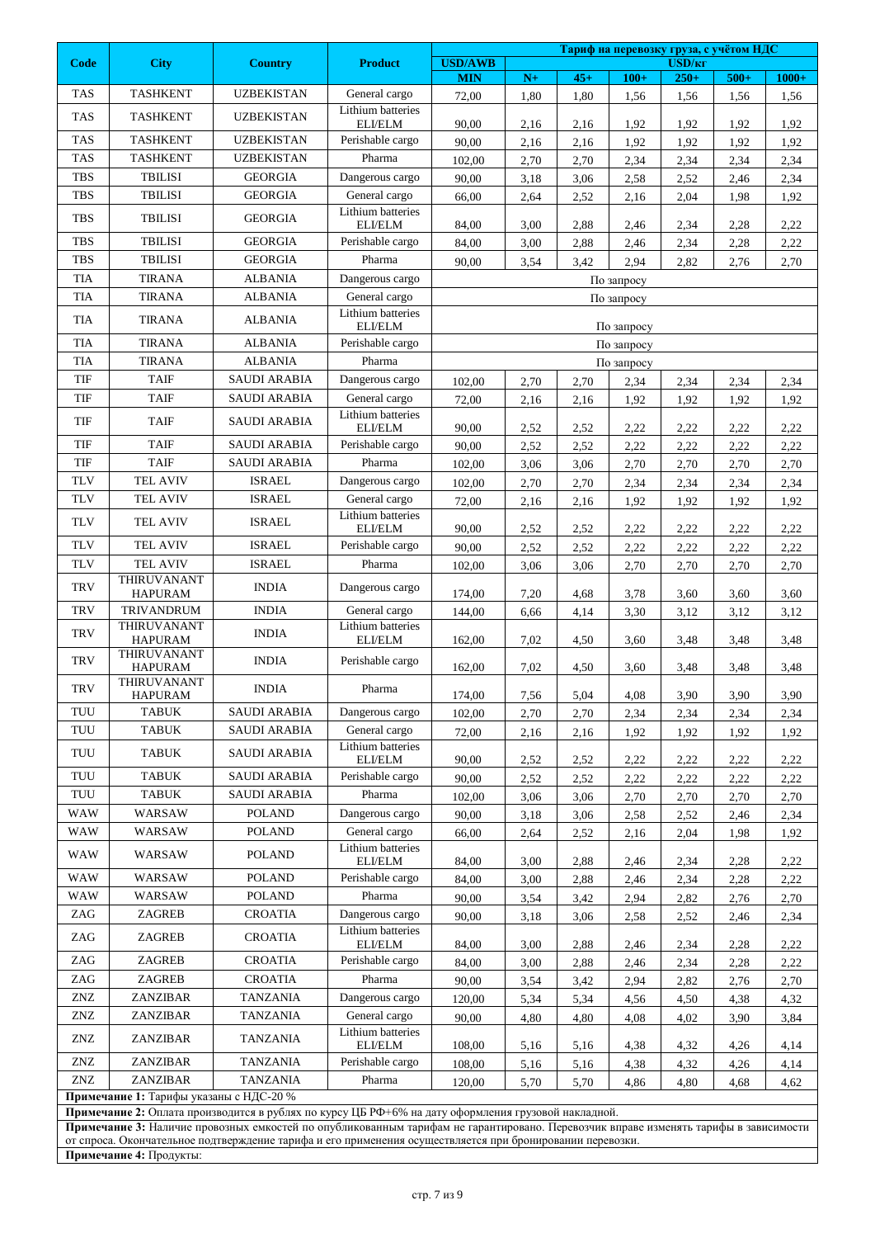| Тариф на перевозку груза, с учётом НДС |                                                                                                                                                                                                                                             |                                                                                                           |                                    |                                                                                                                  |      |       |            |                              |        |         |
|----------------------------------------|---------------------------------------------------------------------------------------------------------------------------------------------------------------------------------------------------------------------------------------------|-----------------------------------------------------------------------------------------------------------|------------------------------------|------------------------------------------------------------------------------------------------------------------|------|-------|------------|------------------------------|--------|---------|
| Code                                   | <b>City</b>                                                                                                                                                                                                                                 | <b>Country</b>                                                                                            | <b>Product</b>                     | <b>USD/AWB</b><br><b>MIN</b>                                                                                     | $N+$ | $45+$ | $100+$     | USD/ <sub>KT</sub><br>$250+$ | $500+$ | $1000+$ |
| <b>TAS</b>                             | <b>TASHKENT</b>                                                                                                                                                                                                                             | <b>UZBEKISTAN</b>                                                                                         | General cargo                      | 72,00                                                                                                            | 1,80 | 1,80  | 1,56       | 1,56                         | 1,56   | 1,56    |
| <b>TAS</b>                             | <b>TASHKENT</b>                                                                                                                                                                                                                             | <b>UZBEKISTAN</b>                                                                                         | Lithium batteries                  |                                                                                                                  |      |       |            |                              |        |         |
|                                        |                                                                                                                                                                                                                                             |                                                                                                           | ELI/ELM                            | 90,00                                                                                                            | 2,16 | 2,16  | 1,92       | 1,92                         | 1.92   | 1,92    |
| <b>TAS</b>                             | <b>TASHKENT</b>                                                                                                                                                                                                                             | <b>UZBEKISTAN</b>                                                                                         | Perishable cargo                   | 90,00                                                                                                            | 2,16 | 2,16  | 1,92       | 1,92                         | 1,92   | 1,92    |
| <b>TAS</b>                             | <b>TASHKENT</b>                                                                                                                                                                                                                             | <b>UZBEKISTAN</b>                                                                                         | Pharma                             | 102,00                                                                                                           | 2,70 | 2,70  | 2,34       | 2,34                         | 2,34   | 2,34    |
| <b>TBS</b>                             | <b>TBILISI</b>                                                                                                                                                                                                                              | <b>GEORGIA</b>                                                                                            | Dangerous cargo                    | 90,00                                                                                                            | 3,18 | 3,06  | 2,58       | 2,52                         | 2,46   | 2,34    |
| <b>TBS</b>                             | <b>TBILISI</b>                                                                                                                                                                                                                              | <b>GEORGIA</b>                                                                                            | General cargo<br>Lithium batteries | 66,00                                                                                                            | 2,64 | 2,52  | 2,16       | 2,04                         | 1,98   | 1,92    |
| <b>TBS</b>                             | <b>TBILISI</b>                                                                                                                                                                                                                              | <b>GEORGIA</b>                                                                                            | ELI/ELM                            | 84,00                                                                                                            | 3,00 | 2,88  | 2,46       | 2,34                         | 2,28   | 2,22    |
| <b>TBS</b>                             | <b>TBILISI</b>                                                                                                                                                                                                                              | <b>GEORGIA</b>                                                                                            | Perishable cargo                   | 84,00                                                                                                            | 3,00 | 2,88  | 2,46       | 2,34                         | 2,28   | 2,22    |
| <b>TBS</b>                             | <b>TBILISI</b>                                                                                                                                                                                                                              | <b>GEORGIA</b>                                                                                            | Pharma                             | 90,00                                                                                                            | 3,54 | 3,42  | 2,94       | 2,82                         | 2,76   | 2,70    |
| <b>TIA</b>                             | <b>TIRANA</b>                                                                                                                                                                                                                               | <b>ALBANIA</b>                                                                                            | Dangerous cargo                    |                                                                                                                  |      |       | По запросу |                              |        |         |
| <b>TIA</b>                             | <b>TIRANA</b>                                                                                                                                                                                                                               | <b>ALBANIA</b>                                                                                            | General cargo                      |                                                                                                                  |      |       | По запросу |                              |        |         |
| <b>TIA</b>                             | <b>TIRANA</b>                                                                                                                                                                                                                               | <b>ALBANIA</b>                                                                                            | Lithium batteries<br>ELI/ELM       |                                                                                                                  |      |       | По запросу |                              |        |         |
| TIA                                    | <b>TIRANA</b>                                                                                                                                                                                                                               | <b>ALBANIA</b>                                                                                            | Perishable cargo                   |                                                                                                                  |      |       | По запросу |                              |        |         |
| <b>TIA</b>                             | <b>TIRANA</b>                                                                                                                                                                                                                               | <b>ALBANIA</b>                                                                                            | Pharma                             |                                                                                                                  |      |       | По запросу |                              |        |         |
| TIF                                    | <b>TAIF</b>                                                                                                                                                                                                                                 | <b>SAUDI ARABIA</b>                                                                                       | Dangerous cargo                    | 102,00                                                                                                           | 2,70 | 2,70  | 2,34       | 2,34                         | 2,34   | 2,34    |
| TIF                                    | <b>TAIF</b>                                                                                                                                                                                                                                 | <b>SAUDI ARABIA</b>                                                                                       | General cargo                      | 72,00                                                                                                            | 2,16 | 2,16  | 1,92       | 1,92                         | 1,92   | 1,92    |
| TIF                                    | <b>TAIF</b>                                                                                                                                                                                                                                 | <b>SAUDI ARABIA</b>                                                                                       | Lithium batteries                  |                                                                                                                  |      |       |            |                              |        |         |
| TIF                                    | <b>TAIF</b>                                                                                                                                                                                                                                 | <b>SAUDI ARABIA</b>                                                                                       | ELI/ELM                            | 90,00                                                                                                            | 2,52 | 2,52  | 2,22       | 2,22                         | 2,22   | 2,22    |
| TIF                                    | <b>TAIF</b>                                                                                                                                                                                                                                 | <b>SAUDI ARABIA</b>                                                                                       | Perishable cargo<br>Pharma         | 90,00                                                                                                            | 2,52 | 2,52  | 2,22       | 2,22                         | 2,22   | 2,22    |
| <b>TLV</b>                             | TEL AVIV                                                                                                                                                                                                                                    | <b>ISRAEL</b>                                                                                             |                                    | 102,00                                                                                                           | 3,06 | 3,06  | 2,70       | 2,70                         | 2,70   | 2,70    |
| <b>TLV</b>                             | TEL AVIV                                                                                                                                                                                                                                    | <b>ISRAEL</b>                                                                                             | Dangerous cargo<br>General cargo   | 102,00                                                                                                           | 2,70 | 2,70  | 2,34       | 2,34                         | 2,34   | 2,34    |
|                                        |                                                                                                                                                                                                                                             |                                                                                                           | Lithium batteries                  | 72,00                                                                                                            | 2,16 | 2,16  | 1,92       | 1,92                         | 1,92   | 1,92    |
| <b>TLV</b>                             | <b>TEL AVIV</b>                                                                                                                                                                                                                             | <b>ISRAEL</b>                                                                                             | ELI/ELM                            | 90,00                                                                                                            | 2,52 | 2,52  | 2,22       | 2,22                         | 2,22   | 2,22    |
| <b>TLV</b>                             | <b>TEL AVIV</b>                                                                                                                                                                                                                             | <b>ISRAEL</b>                                                                                             | Perishable cargo                   | 90,00                                                                                                            | 2,52 | 2,52  | 2,22       | 2,22                         | 2,22   | 2,22    |
| <b>TLV</b>                             | <b>TEL AVIV</b><br>THIRUVANANT                                                                                                                                                                                                              | <b>ISRAEL</b>                                                                                             | Pharma                             | 102,00                                                                                                           | 3,06 | 3,06  | 2,70       | 2,70                         | 2,70   | 2,70    |
| <b>TRV</b>                             | <b>HAPURAM</b>                                                                                                                                                                                                                              | <b>INDIA</b>                                                                                              | Dangerous cargo                    | 174,00                                                                                                           | 7,20 | 4,68  | 3,78       | 3,60                         | 3,60   | 3,60    |
| <b>TRV</b>                             | <b>TRIVANDRUM</b>                                                                                                                                                                                                                           | <b>INDIA</b>                                                                                              | General cargo                      | 144,00                                                                                                           | 6,66 | 4,14  | 3,30       | 3,12                         | 3,12   | 3,12    |
| <b>TRV</b>                             | <b>THIRUVANANT</b><br><b>HAPURAM</b>                                                                                                                                                                                                        | <b>INDIA</b>                                                                                              | Lithium batteries<br>ELI/ELM       | 162,00                                                                                                           | 7,02 | 4,50  | 3,60       | 3,48                         | 3,48   | 3,48    |
| <b>TRV</b>                             | THIRUVANANT<br><b>HAPURAM</b>                                                                                                                                                                                                               | <b>INDIA</b>                                                                                              | Perishable cargo                   | 162,00                                                                                                           | 7,02 | 4,50  | 3,60       | 3,48                         | 3,48   | 3,48    |
| <b>TRV</b>                             | THIRUVANANT<br><b>HAPURAM</b>                                                                                                                                                                                                               | <b>INDIA</b>                                                                                              | Pharma                             | 174,00                                                                                                           | 7,56 | 5,04  | 4,08       | 3,90                         | 3,90   | 3,90    |
| TUU                                    | <b>TABUK</b>                                                                                                                                                                                                                                | <b>SAUDI ARABIA</b>                                                                                       | Dangerous cargo                    | 102,00                                                                                                           | 2,70 | 2,70  | 2,34       | 2,34                         | 2,34   | 2,34    |
| TUU                                    | <b>TABUK</b>                                                                                                                                                                                                                                | <b>SAUDI ARABIA</b>                                                                                       | General cargo                      | 72,00                                                                                                            | 2,16 | 2,16  | 1,92       | 1,92                         | 1,92   | 1,92    |
| TUU                                    | <b>TABUK</b>                                                                                                                                                                                                                                | <b>SAUDI ARABIA</b>                                                                                       | Lithium batteries<br>ELI/ELM       | 90,00                                                                                                            | 2,52 | 2,52  | 2,22       | 2,22                         | 2,22   | 2,22    |
| TUU                                    | <b>TABUK</b>                                                                                                                                                                                                                                | <b>SAUDI ARABIA</b>                                                                                       | Perishable cargo                   | 90,00                                                                                                            | 2,52 | 2,52  | 2,22       | 2,22                         | 2,22   | 2,22    |
| TUU                                    | TABUK                                                                                                                                                                                                                                       | <b>SAUDI ARABIA</b>                                                                                       | Pharma                             | 102,00                                                                                                           | 3,06 | 3,06  | 2,70       | 2,70                         | 2,70   | 2,70    |
| WAW                                    | WARSAW                                                                                                                                                                                                                                      | <b>POLAND</b>                                                                                             | Dangerous cargo                    | 90,00                                                                                                            | 3,18 | 3,06  | 2,58       | 2,52                         | 2,46   | 2,34    |
| WAW                                    | WARSAW                                                                                                                                                                                                                                      | <b>POLAND</b>                                                                                             | General cargo                      | 66,00                                                                                                            | 2,64 | 2,52  | 2,16       | 2,04                         | 1,98   | 1,92    |
| WAW                                    | WARSAW                                                                                                                                                                                                                                      | <b>POLAND</b>                                                                                             | Lithium batteries<br>ELI/ELM       | 84,00                                                                                                            | 3,00 | 2,88  | 2,46       | 2,34                         | 2,28   | 2,22    |
| <b>WAW</b>                             | WARSAW                                                                                                                                                                                                                                      | <b>POLAND</b>                                                                                             | Perishable cargo                   | 84,00                                                                                                            | 3,00 | 2,88  | 2,46       | 2,34                         | 2,28   | 2,22    |
| <b>WAW</b>                             | WARSAW                                                                                                                                                                                                                                      | <b>POLAND</b>                                                                                             | Pharma                             | 90,00                                                                                                            | 3,54 | 3,42  | 2,94       | 2,82                         | 2,76   | 2,70    |
| ZAG                                    | ZAGREB                                                                                                                                                                                                                                      | <b>CROATIA</b>                                                                                            | Dangerous cargo                    | 90,00                                                                                                            | 3,18 | 3,06  | 2,58       | 2,52                         | 2,46   | 2,34    |
| ZAG                                    | ZAGREB                                                                                                                                                                                                                                      | CROATIA                                                                                                   | Lithium batteries<br>ELI/ELM       | 84,00                                                                                                            | 3,00 | 2,88  | 2,46       | 2,34                         | 2,28   | 2,22    |
| ZAG                                    | ZAGREB                                                                                                                                                                                                                                      | <b>CROATIA</b>                                                                                            | Perishable cargo                   | 84,00                                                                                                            | 3,00 | 2,88  | 2,46       | 2,34                         | 2,28   | 2,22    |
| ZAG                                    | ZAGREB                                                                                                                                                                                                                                      | <b>CROATIA</b>                                                                                            | Pharma                             | 90,00                                                                                                            | 3,54 | 3,42  | 2,94       | 2,82                         | 2,76   | 2,70    |
| ZNZ                                    | ZANZIBAR                                                                                                                                                                                                                                    | <b>TANZANIA</b>                                                                                           | Dangerous cargo                    | 120,00                                                                                                           | 5,34 | 5,34  | 4,56       | 4,50                         | 4,38   | 4,32    |
| ZNZ                                    | ZANZIBAR                                                                                                                                                                                                                                    | <b>TANZANIA</b>                                                                                           | General cargo                      | 90,00                                                                                                            | 4,80 | 4,80  | 4,08       | 4,02                         | 3,90   | 3,84    |
| ZNZ                                    | ZANZIBAR                                                                                                                                                                                                                                    | TANZANIA                                                                                                  | Lithium batteries<br>ELI/ELM       |                                                                                                                  |      |       |            |                              |        |         |
| ZNZ                                    | ZANZIBAR                                                                                                                                                                                                                                    | <b>TANZANIA</b>                                                                                           | Perishable cargo                   | 108,00<br>5,16<br>5,16<br>4,38<br>4,32<br>4,26<br>4,14<br>108,00<br>5,16<br>5,16<br>4,38<br>4,32<br>4,26<br>4,14 |      |       |            |                              |        |         |
| ZNZ                                    | ZANZIBAR                                                                                                                                                                                                                                    | <b>TANZANIA</b>                                                                                           | Pharma                             | 120,00                                                                                                           | 5,70 | 5,70  | 4,86       | 4,80                         | 4,68   | 4,62    |
|                                        | Примечание 1: Тарифы указаны с НДС-20 %                                                                                                                                                                                                     |                                                                                                           |                                    |                                                                                                                  |      |       |            |                              |        |         |
|                                        | Примечание 2: Оплата производится в рублях по курсу ЦБ РФ+6% на дату оформления грузовой накладной.<br>Примечание 3: Наличие провозных емкостей по опубликованным тарифам не гарантировано. Перевозчик вправе изменять тарифы в зависимости |                                                                                                           |                                    |                                                                                                                  |      |       |            |                              |        |         |
|                                        |                                                                                                                                                                                                                                             | от спроса. Окончательное подтверждение тарифа и его применения осуществляется при бронировании перевозки. |                                    |                                                                                                                  |      |       |            |                              |        |         |
|                                        | Примечание 4: Продукты:                                                                                                                                                                                                                     |                                                                                                           |                                    |                                                                                                                  |      |       |            |                              |        |         |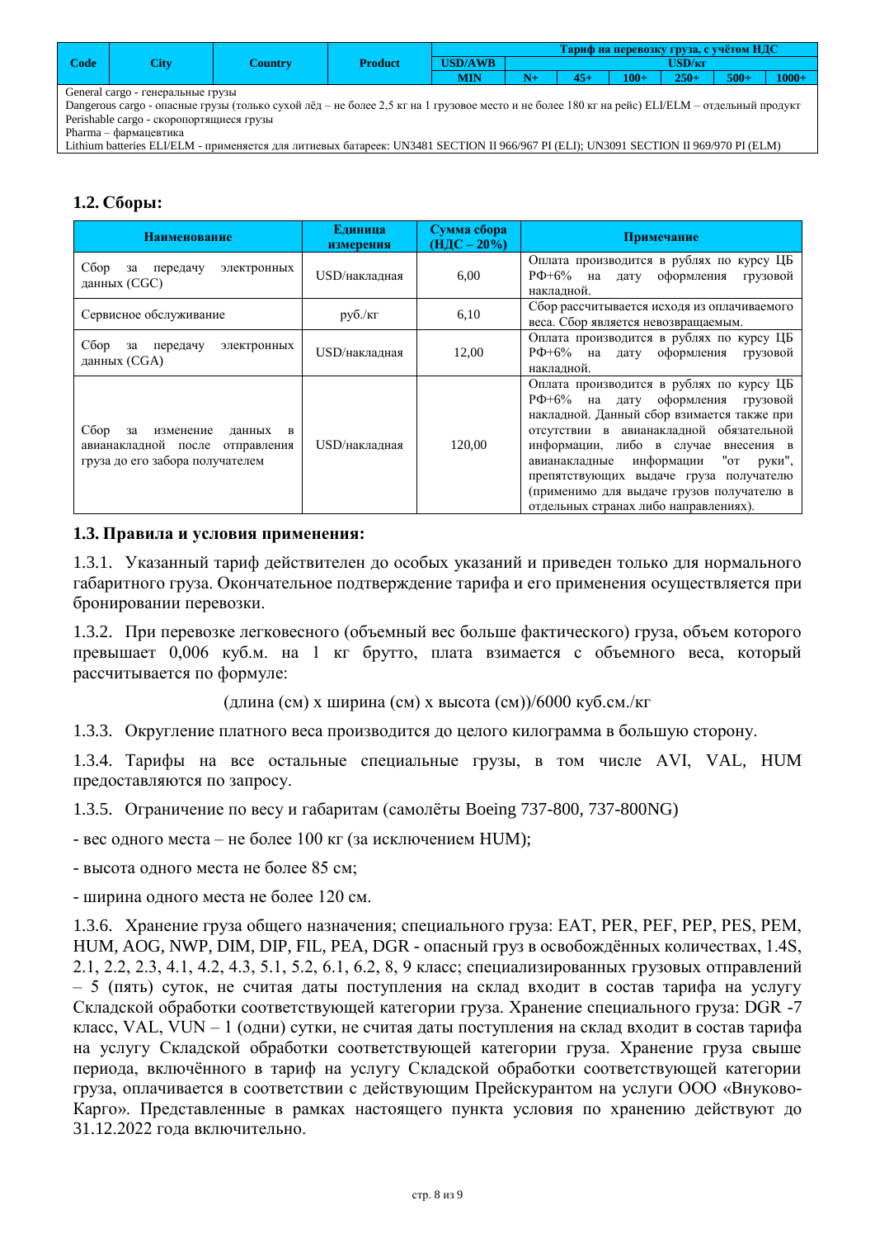|                                   |      |                |         | Чариф на перевозку груза, с учётом НДС |  |  |         |         |        |          |  |
|-----------------------------------|------|----------------|---------|----------------------------------------|--|--|---------|---------|--------|----------|--|
| $\text{Code}$                     | City | <b>Country</b> | Product | <b>USD/AWB</b>                         |  |  |         |         |        |          |  |
|                                   |      |                |         | MIN                                    |  |  | $100 +$ | $250 +$ | $500+$ | $1000 +$ |  |
| General cargo - генеральные грузы |      |                |         |                                        |  |  |         |         |        |          |  |

Dangerous cargo - опасные грузы (только сухой лёд – не более 2,5 кг на 1 грузовое место и не более 180 кг на рейс) ELI/ELM – отдельный продукт Perishable cargo - скоропортящиеся грузы

Pharma – фармацевтика

Lithium batteries ELI/ELM - применяется для литиевых батареек: UN3481 SECTION II 966/967 PI (ELI); UN3091 SECTION II 969/970 PI (ELM)

## **1.2. Сборы:**

| <b>Наименование</b>                                                                                                     | Единица<br>измерения              | Сумма сбора<br>$(H \text{I} C - 20\%)$ | Примечание                                                                                                                                                                                                                                                                                                                                                                                           |
|-------------------------------------------------------------------------------------------------------------------------|-----------------------------------|----------------------------------------|------------------------------------------------------------------------------------------------------------------------------------------------------------------------------------------------------------------------------------------------------------------------------------------------------------------------------------------------------------------------------------------------------|
| Сбор<br>передачу<br>за<br>электронных<br>данных (CGC)                                                                   | USD/накладная                     | 6,00                                   | Оплата производится в рублях по курсу ЦБ<br>РФ+6% на дату оформления грузовой<br>накладной.                                                                                                                                                                                                                                                                                                          |
| Сервисное обслуживание                                                                                                  | $p\gamma\delta$ ./ $\kappa\Gamma$ | 6,10                                   | Сбор рассчитывается исходя из оплачиваемого<br>веса. Сбор является невозвращаемым.                                                                                                                                                                                                                                                                                                                   |
| Сбор<br>передачу<br>за<br>электронных<br>данных (CGA)                                                                   | USD/накладная                     | 12,00                                  | Оплата производится в рублях по курсу ЦБ<br>$P\Phi + 6\%$ на<br>дату оформления грузовой<br>накладной.                                                                                                                                                                                                                                                                                               |
| Сбор<br>изменение<br>$\mathbf{B}$<br>за<br>данных<br>авианакладной после отправления<br>груза до его забора получателем | $USD/Ha$ кладная                  | 120,00                                 | Оплата производится в рублях по курсу ЦБ<br>РФ+6% на<br>дату оформления грузовой<br>накладной. Данный сбор взимается также при<br>отсутствии в авианакладной обязательной<br>информации, либо в случае<br>внесения в<br>информации<br>"ot<br>авианакладные<br>руки",<br>препятствующих выдаче груза получателю<br>(применимо для выдаче грузов получателю в<br>отдельных странах либо направлениях). |

### **1.3. Правила и условия применения:**

1.3.1. Указанный тариф действителен до особых указаний и приведен только для нормального габаритного груза. Окончательное подтверждение тарифа и его применения осуществляется при бронировании перевозки.

1.3.2. При перевозке легковесного (объемный вес больше фактического) груза, объем которого превышает 0,006 куб.м. на 1 кг брутто, плата взимается с объемного веса, который рассчитывается по формуле:

(длина (см) х ширина (см) х высота (см))/6000 куб.см./кг

1.3.3. Округление платного веса производится до целого килограмма в большую сторону.

1.3.4. Тарифы на все остальные специальные грузы, в том числе AVI, VAL, HUM предоставляются по запросу.

1.3.5. Ограничение по весу и габаритам (самолёты Boeing 737-800, 737-800NG)

- вес одного места – не более 100 кг (за исключением HUM);

- высота одного места не более 85 см;

- ширина одного места не более 120 см.

1.3.6. Хранение груза общего назначения; специального груза: EAT, PER, PEF, PEP, PES, PEM, HUM, AOG, NWP, DIM, DIP, FIL, PEA, DGR - опасный груз в освобождённых количествах, 1.4S, 2.1, 2.2, 2.3, 4.1, 4.2, 4.3, 5.1, 5.2, 6.1, 6.2, 8, 9 класс; специализированных грузовых отправлений – 5 (пять) суток, не считая даты поступления на склад входит в состав тарифа на услугу Складской обработки соответствующей категории груза. Хранение специального груза: DGR -7 класс, VAL, VUN – 1 (одни) сутки, не считая даты поступления на склад входит в состав тарифа на услугу Складской обработки соответствующей категории груза. Хранение груза свыше периода, включённого в тариф на услугу Складской обработки соответствующей категории груза, оплачивается в соответствии с действующим Прейскурантом на услуги ООО «Внуково-Карго». Представленные в рамках настоящего пункта условия по хранению действуют до 31.12.2022 года включительно.